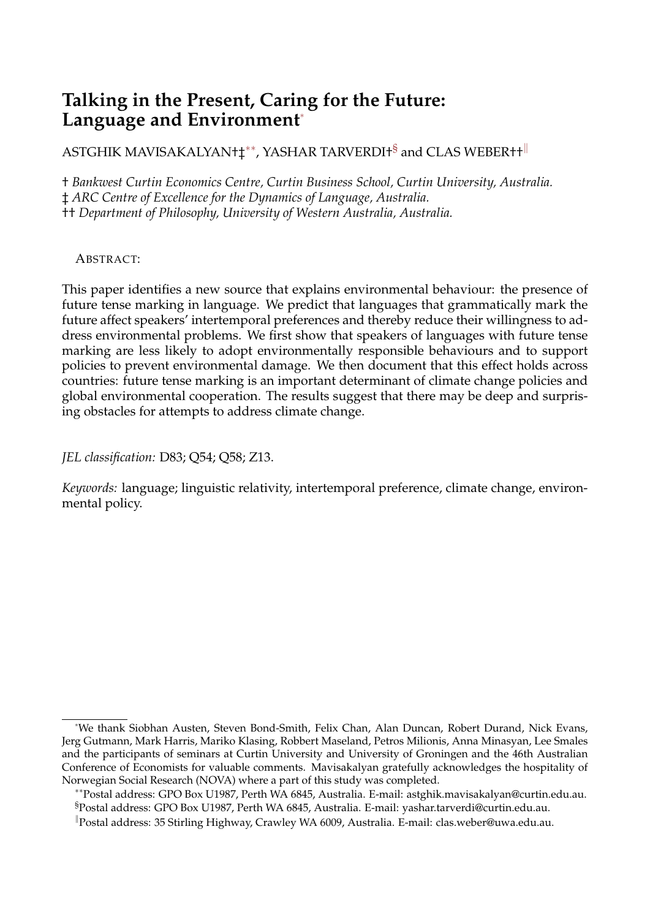# **Talking in the Present, Caring for the Future: Language and Environment**[∗](#page-0-0)

 $\mathrm{ASTGHIK}$  MAVISAKALYAN†‡ $^{**}$ , YASHAR TARVERDI† $^\mathrm{S}$  and CLAS WEBER†† $^\parallel$ 

† *Bankwest Curtin Economics Centre, Curtin Business School, Curtin University, Australia.* ‡ *ARC Centre of Excellence for the Dynamics of Language, Australia.* †† *Department of Philosophy, University of Western Australia, Australia.*

ABSTRACT:

This paper identifies a new source that explains environmental behaviour: the presence of future tense marking in language. We predict that languages that grammatically mark the future affect speakers' intertemporal preferences and thereby reduce their willingness to address environmental problems. We first show that speakers of languages with future tense marking are less likely to adopt environmentally responsible behaviours and to support policies to prevent environmental damage. We then document that this effect holds across countries: future tense marking is an important determinant of climate change policies and global environmental cooperation. The results suggest that there may be deep and surprising obstacles for attempts to address climate change.

*JEL classification:* D83; Q54; Q58; Z13.

*Keywords:* language; linguistic relativity, intertemporal preference, climate change, environmental policy.

<span id="page-0-0"></span><sup>∗</sup>We thank Siobhan Austen, Steven Bond-Smith, Felix Chan, Alan Duncan, Robert Durand, Nick Evans, Jerg Gutmann, Mark Harris, Mariko Klasing, Robbert Maseland, Petros Milionis, Anna Minasyan, Lee Smales and the participants of seminars at Curtin University and University of Groningen and the 46th Australian Conference of Economists for valuable comments. Mavisakalyan gratefully acknowledges the hospitality of Norwegian Social Research (NOVA) where a part of this study was completed.

<span id="page-0-2"></span><span id="page-0-1"></span><sup>∗∗</sup>Postal address: GPO Box U1987, Perth WA 6845, Australia. E-mail: astghik.mavisakalyan@curtin.edu.au. §Postal address: GPO Box U1987, Perth WA 6845, Australia. E-mail: yashar.tarverdi@curtin.edu.au.

<span id="page-0-3"></span><sup>k</sup>Postal address: 35 Stirling Highway, Crawley WA 6009, Australia. E-mail: clas.weber@uwa.edu.au.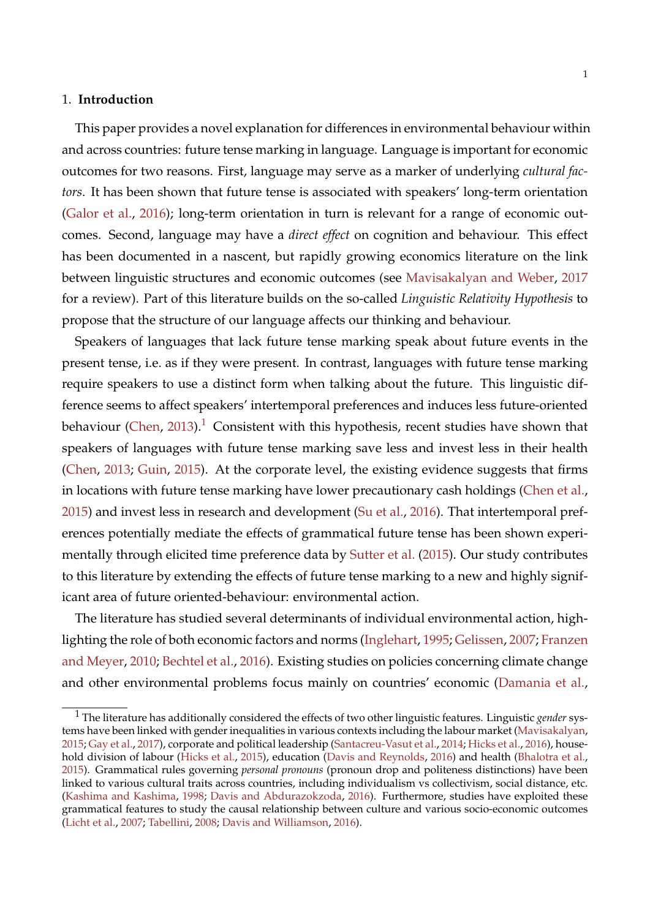#### 1. **Introduction**

This paper provides a novel explanation for differences in environmental behaviour within and across countries: future tense marking in language. Language is important for economic outcomes for two reasons. First, language may serve as a marker of underlying *cultural factors*. It has been shown that future tense is associated with speakers' long-term orientation [\(Galor et al.,](#page-26-0) [2016\)](#page-26-0); long-term orientation in turn is relevant for a range of economic outcomes. Second, language may have a *direct effect* on cognition and behaviour. This effect has been documented in a nascent, but rapidly growing economics literature on the link between linguistic structures and economic outcomes (see [Mavisakalyan and Weber,](#page-28-0) [2017](#page-28-0) for a review). Part of this literature builds on the so-called *Linguistic Relativity Hypothesis* to propose that the structure of our language affects our thinking and behaviour.

Speakers of languages that lack future tense marking speak about future events in the present tense, i.e. as if they were present. In contrast, languages with future tense marking require speakers to use a distinct form when talking about the future. This linguistic difference seems to affect speakers' intertemporal preferences and induces less future-oriented behaviour [\(Chen,](#page-25-0) [2013\)](#page-25-0).<sup>[1](#page-1-0)</sup> Consistent with this hypothesis, recent studies have shown that speakers of languages with future tense marking save less and invest less in their health [\(Chen,](#page-25-0) [2013;](#page-25-0) [Guin,](#page-26-1) [2015\)](#page-26-1). At the corporate level, the existing evidence suggests that firms in locations with future tense marking have lower precautionary cash holdings [\(Chen et al.,](#page-25-1) [2015\)](#page-25-1) and invest less in research and development [\(Su et al.,](#page-29-0) [2016\)](#page-29-0). That intertemporal preferences potentially mediate the effects of grammatical future tense has been shown experimentally through elicited time preference data by [Sutter et al.](#page-29-1) [\(2015\)](#page-29-1). Our study contributes to this literature by extending the effects of future tense marking to a new and highly significant area of future oriented-behaviour: environmental action.

The literature has studied several determinants of individual environmental action, highlighting the role of both economic factors and norms [\(Inglehart,](#page-27-0) [1995;](#page-27-0) [Gelissen,](#page-26-2) [2007;](#page-26-2) [Franzen](#page-26-3) [and Meyer,](#page-26-3) [2010;](#page-26-3) [Bechtel et al.,](#page-24-0) [2016\)](#page-24-0). Existing studies on policies concerning climate change and other environmental problems focus mainly on countries' economic [\(Damania et al.,](#page-25-2)

<span id="page-1-0"></span><sup>1</sup> The literature has additionally considered the effects of two other linguistic features. Linguistic *gender* systems have been linked with gender inequalities in various contexts including the labour market [\(Mavisakalyan,](#page-28-1) [2015;](#page-28-1) [Gay et al.,](#page-26-4) [2017\)](#page-26-4), corporate and political leadership [\(Santacreu-Vasut et al.,](#page-29-2) [2014;](#page-29-2) [Hicks et al.,](#page-27-1) [2016\)](#page-27-1), household division of labour [\(Hicks et al.,](#page-27-2) [2015\)](#page-27-2), education [\(Davis and Reynolds,](#page-25-3) [2016\)](#page-25-3) and health [\(Bhalotra et al.,](#page-24-1) [2015\)](#page-24-1). Grammatical rules governing *personal pronouns* (pronoun drop and politeness distinctions) have been linked to various cultural traits across countries, including individualism vs collectivism, social distance, etc. [\(Kashima and Kashima,](#page-27-3) [1998;](#page-27-3) [Davis and Abdurazokzoda,](#page-25-4) [2016\)](#page-25-4). Furthermore, studies have exploited these grammatical features to study the causal relationship between culture and various socio-economic outcomes [\(Licht et al.,](#page-28-2) [2007;](#page-28-2) [Tabellini,](#page-29-3) [2008;](#page-29-3) [Davis and Williamson,](#page-25-5) [2016\)](#page-25-5).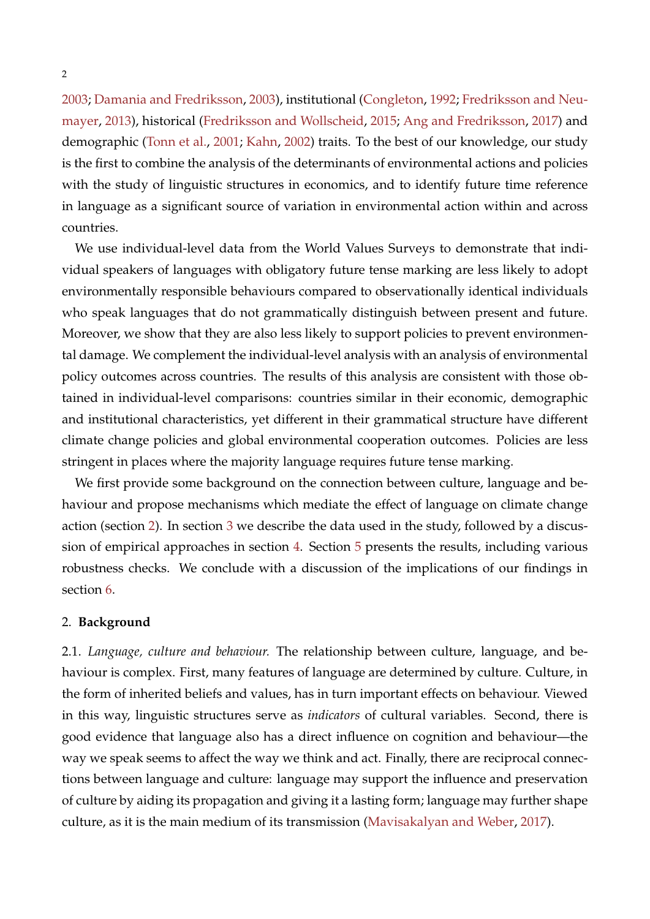[2003;](#page-25-2) [Damania and Fredriksson,](#page-25-6) [2003\)](#page-25-6), institutional [\(Congleton,](#page-25-7) [1992;](#page-25-7) [Fredriksson and Neu](#page-26-5)[mayer,](#page-26-5) [2013\)](#page-26-5), historical [\(Fredriksson and Wollscheid,](#page-26-6) [2015;](#page-26-6) [Ang and Fredriksson,](#page-24-2) [2017\)](#page-24-2) and demographic [\(Tonn et al.,](#page-29-4) [2001;](#page-29-4) [Kahn,](#page-27-4) [2002\)](#page-27-4) traits. To the best of our knowledge, our study is the first to combine the analysis of the determinants of environmental actions and policies with the study of linguistic structures in economics, and to identify future time reference in language as a significant source of variation in environmental action within and across countries.

We use individual-level data from the World Values Surveys to demonstrate that individual speakers of languages with obligatory future tense marking are less likely to adopt environmentally responsible behaviours compared to observationally identical individuals who speak languages that do not grammatically distinguish between present and future. Moreover, we show that they are also less likely to support policies to prevent environmental damage. We complement the individual-level analysis with an analysis of environmental policy outcomes across countries. The results of this analysis are consistent with those obtained in individual-level comparisons: countries similar in their economic, demographic and institutional characteristics, yet different in their grammatical structure have different climate change policies and global environmental cooperation outcomes. Policies are less stringent in places where the majority language requires future tense marking.

We first provide some background on the connection between culture, language and behaviour and propose mechanisms which mediate the effect of language on climate change action (section [2\)](#page-2-0). In section [3](#page-6-0) we describe the data used in the study, followed by a discussion of empirical approaches in section [4.](#page-11-0) Section [5](#page-14-0) presents the results, including various robustness checks. We conclude with a discussion of the implications of our findings in section [6.](#page-23-0)

#### <span id="page-2-0"></span>2. **Background**

2.1. *Language, culture and behaviour.* The relationship between culture, language, and behaviour is complex. First, many features of language are determined by culture. Culture, in the form of inherited beliefs and values, has in turn important effects on behaviour. Viewed in this way, linguistic structures serve as *indicators* of cultural variables. Second, there is good evidence that language also has a direct influence on cognition and behaviour—the way we speak seems to affect the way we think and act. Finally, there are reciprocal connections between language and culture: language may support the influence and preservation of culture by aiding its propagation and giving it a lasting form; language may further shape culture, as it is the main medium of its transmission [\(Mavisakalyan and Weber,](#page-28-0) [2017\)](#page-28-0).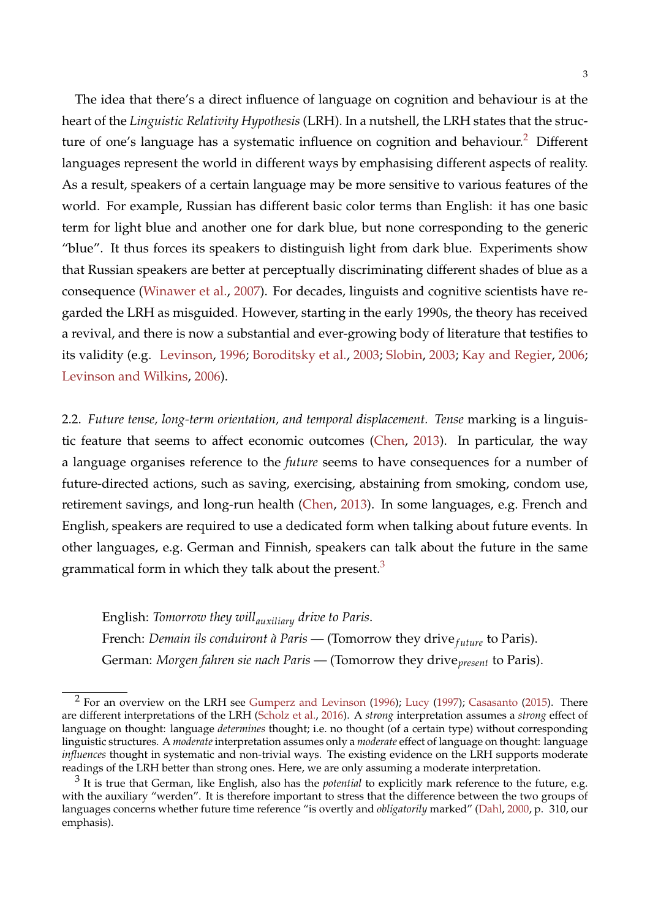The idea that there's a direct influence of language on cognition and behaviour is at the heart of the *Linguistic Relativity Hypothesis* (LRH). In a nutshell, the LRH states that the struc-ture of one's language has a systematic influence on cognition and behaviour.<sup>[2](#page-3-0)</sup> Different languages represent the world in different ways by emphasising different aspects of reality. As a result, speakers of a certain language may be more sensitive to various features of the world. For example, Russian has different basic color terms than English: it has one basic term for light blue and another one for dark blue, but none corresponding to the generic "blue". It thus forces its speakers to distinguish light from dark blue. Experiments show that Russian speakers are better at perceptually discriminating different shades of blue as a consequence [\(Winawer et al.,](#page-30-0) [2007\)](#page-30-0). For decades, linguists and cognitive scientists have regarded the LRH as misguided. However, starting in the early 1990s, the theory has received a revival, and there is now a substantial and ever-growing body of literature that testifies to its validity (e.g. [Levinson,](#page-27-5) [1996;](#page-27-5) [Boroditsky et al.,](#page-24-3) [2003;](#page-24-3) [Slobin,](#page-29-5) [2003;](#page-29-5) [Kay and Regier,](#page-27-6) [2006;](#page-27-6) [Levinson and Wilkins,](#page-27-7) [2006\)](#page-27-7).

2.2. *Future tense, long-term orientation, and temporal displacement. Tense* marking is a linguistic feature that seems to affect economic outcomes [\(Chen,](#page-25-0) [2013\)](#page-25-0). In particular, the way a language organises reference to the *future* seems to have consequences for a number of future-directed actions, such as saving, exercising, abstaining from smoking, condom use, retirement savings, and long-run health [\(Chen,](#page-25-0) [2013\)](#page-25-0). In some languages, e.g. French and English, speakers are required to use a dedicated form when talking about future events. In other languages, e.g. German and Finnish, speakers can talk about the future in the same grammatical form in which they talk about the present. $3$ 

English: *Tomorrow they willauxiliary drive to Paris*. French: *Demain ils conduiront à Paris* — (Tomorrow they drive<sub>future</sub> to Paris). German: *Morgen fahren sie nach Paris* — (Tomorrow they drive*present* to Paris).

<span id="page-3-0"></span> $2$  For an overview on the LRH see [Gumperz and Levinson](#page-26-7) [\(1996\)](#page-26-7); [Lucy](#page-28-3) [\(1997\)](#page-28-3); [Casasanto](#page-24-4) [\(2015\)](#page-24-4). There are different interpretations of the LRH [\(Scholz et al.,](#page-29-6) [2016\)](#page-29-6). A *strong* interpretation assumes a *strong* effect of language on thought: language *determines* thought; i.e. no thought (of a certain type) without corresponding linguistic structures. A *moderate* interpretation assumes only a *moderate* effect of language on thought: language *influences* thought in systematic and non-trivial ways. The existing evidence on the LRH supports moderate readings of the LRH better than strong ones. Here, we are only assuming a moderate interpretation.

<span id="page-3-1"></span><sup>&</sup>lt;sup>3</sup> It is true that German, like English, also has the *potential* to explicitly mark reference to the future, e.g. with the auxiliary "werden". It is therefore important to stress that the difference between the two groups of languages concerns whether future time reference "is overtly and *obligatorily* marked" [\(Dahl,](#page-25-8) [2000,](#page-25-8) p. 310, our emphasis).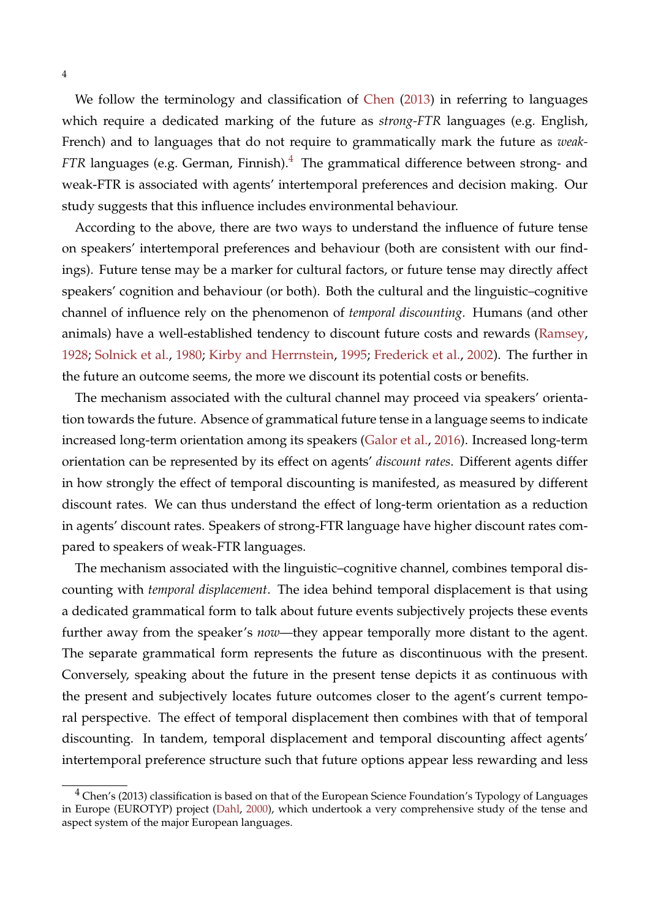We follow the terminology and classification of [Chen](#page-25-0) [\(2013\)](#page-25-0) in referring to languages which require a dedicated marking of the future as *strong-FTR* languages (e.g. English, French) and to languages that do not require to grammatically mark the future as *weak-FTR* languages (e.g. German, Finnish).<sup>[4](#page-4-0)</sup> The grammatical difference between strong- and weak-FTR is associated with agents' intertemporal preferences and decision making. Our study suggests that this influence includes environmental behaviour.

According to the above, there are two ways to understand the influence of future tense on speakers' intertemporal preferences and behaviour (both are consistent with our findings). Future tense may be a marker for cultural factors, or future tense may directly affect speakers' cognition and behaviour (or both). Both the cultural and the linguistic–cognitive channel of influence rely on the phenomenon of *temporal discounting*. Humans (and other animals) have a well-established tendency to discount future costs and rewards [\(Ramsey,](#page-28-4) [1928;](#page-28-4) [Solnick et al.,](#page-29-7) [1980;](#page-29-7) [Kirby and Herrnstein,](#page-27-8) [1995;](#page-27-8) [Frederick et al.,](#page-26-8) [2002\)](#page-26-8). The further in the future an outcome seems, the more we discount its potential costs or benefits.

The mechanism associated with the cultural channel may proceed via speakers' orientation towards the future. Absence of grammatical future tense in a language seems to indicate increased long-term orientation among its speakers [\(Galor et al.,](#page-26-0) [2016\)](#page-26-0). Increased long-term orientation can be represented by its effect on agents' *discount rates*. Different agents differ in how strongly the effect of temporal discounting is manifested, as measured by different discount rates. We can thus understand the effect of long-term orientation as a reduction in agents' discount rates. Speakers of strong-FTR language have higher discount rates compared to speakers of weak-FTR languages.

The mechanism associated with the linguistic–cognitive channel, combines temporal discounting with *temporal displacement*. The idea behind temporal displacement is that using a dedicated grammatical form to talk about future events subjectively projects these events further away from the speaker's *now*—they appear temporally more distant to the agent. The separate grammatical form represents the future as discontinuous with the present. Conversely, speaking about the future in the present tense depicts it as continuous with the present and subjectively locates future outcomes closer to the agent's current temporal perspective. The effect of temporal displacement then combines with that of temporal discounting. In tandem, temporal displacement and temporal discounting affect agents' intertemporal preference structure such that future options appear less rewarding and less

<span id="page-4-0"></span><sup>&</sup>lt;sup>4</sup> Chen's (2013) classification is based on that of the European Science Foundation's Typology of Languages in Europe (EUROTYP) project [\(Dahl,](#page-25-8) [2000\)](#page-25-8), which undertook a very comprehensive study of the tense and aspect system of the major European languages.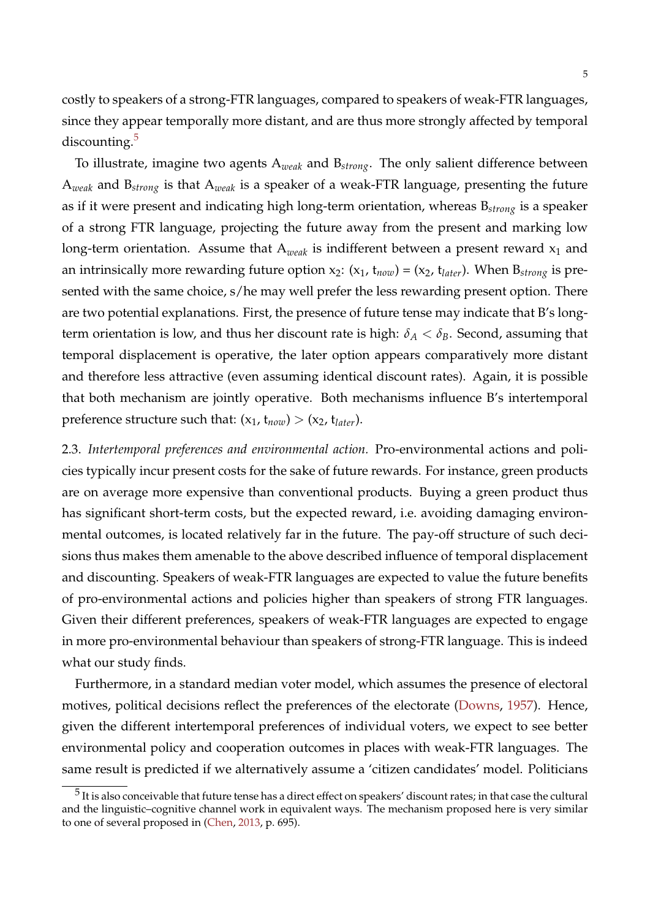costly to speakers of a strong-FTR languages, compared to speakers of weak-FTR languages, since they appear temporally more distant, and are thus more strongly affected by temporal discounting. $5$ 

To illustrate, imagine two agents A*weak* and B*strong*. The only salient difference between A*weak* and B*strong* is that A*weak* is a speaker of a weak-FTR language, presenting the future as if it were present and indicating high long-term orientation, whereas B*strong* is a speaker of a strong FTR language, projecting the future away from the present and marking low long-term orientation. Assume that  $A_{weak}$  is indifferent between a present reward  $x_1$  and an intrinsically more rewarding future option  $x_2$ :  $(x_1, t_{now}) = (x_2, t_{later})$ . When  $B_{strong}$  is presented with the same choice, s/he may well prefer the less rewarding present option. There are two potential explanations. First, the presence of future tense may indicate that B's longterm orientation is low, and thus her discount rate is high:  $\delta_A < \delta_B$ . Second, assuming that temporal displacement is operative, the later option appears comparatively more distant and therefore less attractive (even assuming identical discount rates). Again, it is possible that both mechanism are jointly operative. Both mechanisms influence B's intertemporal preference structure such that:  $(x_1, t_{now}) > (x_2, t_{later})$ .

2.3. *Intertemporal preferences and environmental action.* Pro-environmental actions and policies typically incur present costs for the sake of future rewards. For instance, green products are on average more expensive than conventional products. Buying a green product thus has significant short-term costs, but the expected reward, i.e. avoiding damaging environmental outcomes, is located relatively far in the future. The pay-off structure of such decisions thus makes them amenable to the above described influence of temporal displacement and discounting. Speakers of weak-FTR languages are expected to value the future benefits of pro-environmental actions and policies higher than speakers of strong FTR languages. Given their different preferences, speakers of weak-FTR languages are expected to engage in more pro-environmental behaviour than speakers of strong-FTR language. This is indeed what our study finds.

Furthermore, in a standard median voter model, which assumes the presence of electoral motives, political decisions reflect the preferences of the electorate [\(Downs,](#page-25-9) [1957\)](#page-25-9). Hence, given the different intertemporal preferences of individual voters, we expect to see better environmental policy and cooperation outcomes in places with weak-FTR languages. The same result is predicted if we alternatively assume a 'citizen candidates' model. Politicians

<span id="page-5-0"></span> $^5$  It is also conceivable that future tense has a direct effect on speakers' discount rates; in that case the cultural and the linguistic–cognitive channel work in equivalent ways. The mechanism proposed here is very similar to one of several proposed in [\(Chen,](#page-25-0) [2013,](#page-25-0) p. 695).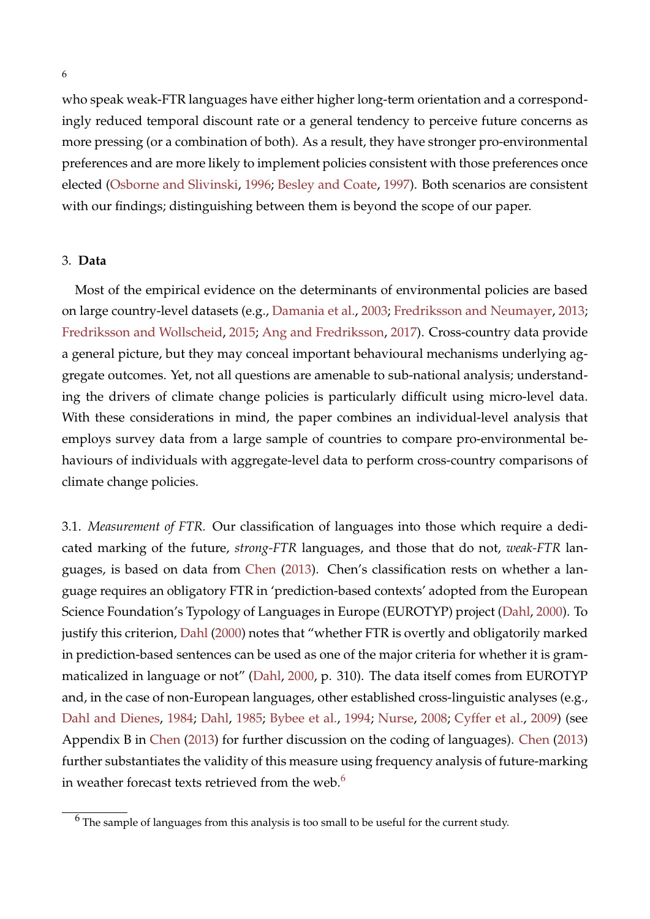who speak weak-FTR languages have either higher long-term orientation and a correspondingly reduced temporal discount rate or a general tendency to perceive future concerns as more pressing (or a combination of both). As a result, they have stronger pro-environmental preferences and are more likely to implement policies consistent with those preferences once elected [\(Osborne and Slivinski,](#page-28-5) [1996;](#page-28-5) [Besley and Coate,](#page-24-5) [1997\)](#page-24-5). Both scenarios are consistent with our findings; distinguishing between them is beyond the scope of our paper.

#### <span id="page-6-0"></span>3. **Data**

Most of the empirical evidence on the determinants of environmental policies are based on large country-level datasets (e.g., [Damania et al.,](#page-25-2) [2003;](#page-25-2) [Fredriksson and Neumayer,](#page-26-5) [2013;](#page-26-5) [Fredriksson and Wollscheid,](#page-26-6) [2015;](#page-26-6) [Ang and Fredriksson,](#page-24-2) [2017\)](#page-24-2). Cross-country data provide a general picture, but they may conceal important behavioural mechanisms underlying aggregate outcomes. Yet, not all questions are amenable to sub-national analysis; understanding the drivers of climate change policies is particularly difficult using micro-level data. With these considerations in mind, the paper combines an individual-level analysis that employs survey data from a large sample of countries to compare pro-environmental behaviours of individuals with aggregate-level data to perform cross-country comparisons of climate change policies.

3.1. *Measurement of FTR.* Our classification of languages into those which require a dedicated marking of the future, *strong-FTR* languages, and those that do not, *weak-FTR* languages, is based on data from [Chen](#page-25-0) [\(2013\)](#page-25-0). Chen's classification rests on whether a language requires an obligatory FTR in 'prediction-based contexts' adopted from the European Science Foundation's Typology of Languages in Europe (EUROTYP) project [\(Dahl,](#page-25-8) [2000\)](#page-25-8). To justify this criterion, [Dahl](#page-25-8) [\(2000\)](#page-25-8) notes that "whether FTR is overtly and obligatorily marked in prediction-based sentences can be used as one of the major criteria for whether it is grammaticalized in language or not" [\(Dahl,](#page-25-8) [2000,](#page-25-8) p. 310). The data itself comes from EUROTYP and, in the case of non-European languages, other established cross-linguistic analyses (e.g., [Dahl and Dienes,](#page-25-10) [1984;](#page-25-10) [Dahl,](#page-25-11) [1985;](#page-25-11) [Bybee et al.,](#page-24-6) [1994;](#page-24-6) [Nurse,](#page-28-6) [2008;](#page-28-6) [Cyffer et al.,](#page-25-12) [2009\)](#page-25-12) (see Appendix B in [Chen](#page-25-0) [\(2013\)](#page-25-0) for further discussion on the coding of languages). [Chen](#page-25-0) [\(2013\)](#page-25-0) further substantiates the validity of this measure using frequency analysis of future-marking in weather forecast texts retrieved from the web. $6$ 

<span id="page-6-1"></span> $6$  The sample of languages from this analysis is too small to be useful for the current study.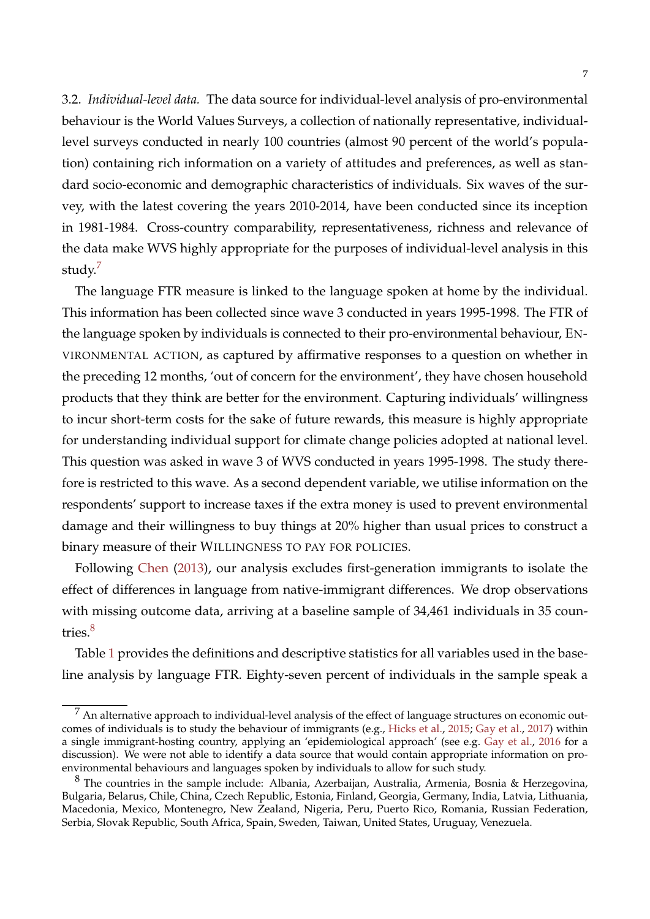<span id="page-7-2"></span>3.2. *Individual-level data.* The data source for individual-level analysis of pro-environmental behaviour is the World Values Surveys, a collection of nationally representative, individuallevel surveys conducted in nearly 100 countries (almost 90 percent of the world's population) containing rich information on a variety of attitudes and preferences, as well as standard socio-economic and demographic characteristics of individuals. Six waves of the survey, with the latest covering the years 2010-2014, have been conducted since its inception in 1981-1984. Cross-country comparability, representativeness, richness and relevance of the data make WVS highly appropriate for the purposes of individual-level analysis in this study.<sup>[7](#page-7-0)</sup>

The language FTR measure is linked to the language spoken at home by the individual. This information has been collected since wave 3 conducted in years 1995-1998. The FTR of the language spoken by individuals is connected to their pro-environmental behaviour, EN-VIRONMENTAL ACTION, as captured by affirmative responses to a question on whether in the preceding 12 months, 'out of concern for the environment', they have chosen household products that they think are better for the environment. Capturing individuals' willingness to incur short-term costs for the sake of future rewards, this measure is highly appropriate for understanding individual support for climate change policies adopted at national level. This question was asked in wave 3 of WVS conducted in years 1995-1998. The study therefore is restricted to this wave. As a second dependent variable, we utilise information on the respondents' support to increase taxes if the extra money is used to prevent environmental damage and their willingness to buy things at 20% higher than usual prices to construct a binary measure of their WILLINGNESS TO PAY FOR POLICIES.

Following [Chen](#page-25-0) [\(2013\)](#page-25-0), our analysis excludes first-generation immigrants to isolate the effect of differences in language from native-immigrant differences. We drop observations with missing outcome data, arriving at a baseline sample of 34,461 individuals in 35 coun-tries.<sup>[8](#page-7-1)</sup>

Table [1](#page-32-0) provides the definitions and descriptive statistics for all variables used in the baseline analysis by language FTR. Eighty-seven percent of individuals in the sample speak a

<span id="page-7-0"></span> $<sup>7</sup>$  An alternative approach to individual-level analysis of the effect of language structures on economic out-</sup> comes of individuals is to study the behaviour of immigrants (e.g., [Hicks et al.,](#page-27-2) [2015;](#page-27-2) [Gay et al.,](#page-26-4) [2017\)](#page-26-4) within a single immigrant-hosting country, applying an 'epidemiological approach' (see e.g. [Gay et al.,](#page-26-9) [2016](#page-26-9) for a discussion). We were not able to identify a data source that would contain appropriate information on proenvironmental behaviours and languages spoken by individuals to allow for such study.

<span id="page-7-1"></span><sup>8</sup> The countries in the sample include: Albania, Azerbaijan, Australia, Armenia, Bosnia & Herzegovina, Bulgaria, Belarus, Chile, China, Czech Republic, Estonia, Finland, Georgia, Germany, India, Latvia, Lithuania, Macedonia, Mexico, Montenegro, New Zealand, Nigeria, Peru, Puerto Rico, Romania, Russian Federation, Serbia, Slovak Republic, South Africa, Spain, Sweden, Taiwan, United States, Uruguay, Venezuela.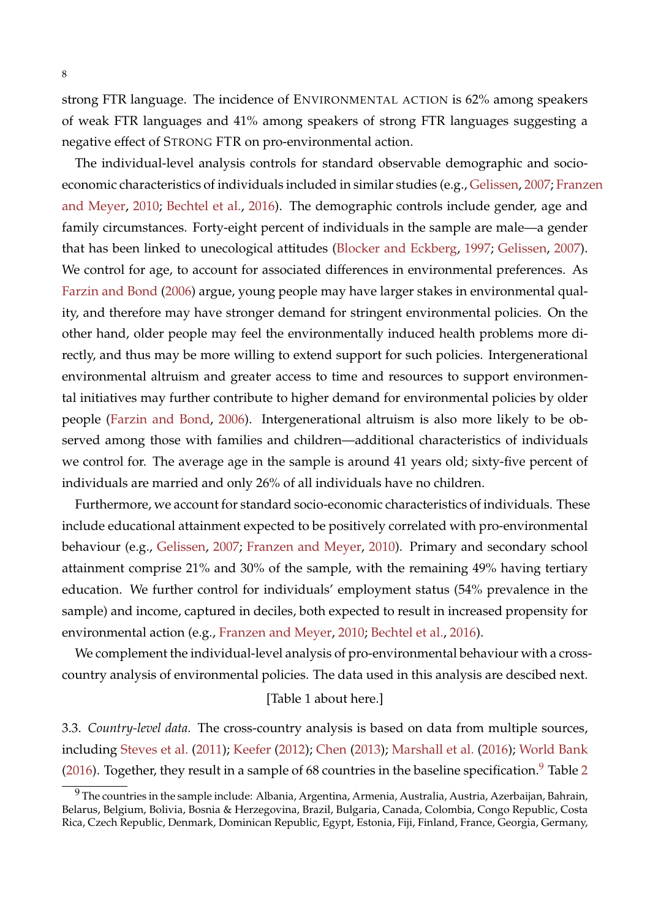strong FTR language. The incidence of ENVIRONMENTAL ACTION is 62% among speakers of weak FTR languages and 41% among speakers of strong FTR languages suggesting a negative effect of STRONG FTR on pro-environmental action.

The individual-level analysis controls for standard observable demographic and socioeconomic characteristics of individuals included in similar studies (e.g., [Gelissen,](#page-26-2) [2007;](#page-26-2) [Franze](#page-26-3)n [and Meyer,](#page-26-3) [2010;](#page-26-3) [Bechtel et al.,](#page-24-0) [2016\)](#page-24-0). The demographic controls include gender, age and family circumstances. Forty-eight percent of individuals in the sample are male—a gender that has been linked to unecological attitudes [\(Blocker and Eckberg,](#page-24-7) [1997;](#page-24-7) [Gelissen,](#page-26-2) [2007\)](#page-26-2). We control for age, to account for associated differences in environmental preferences. As [Farzin and Bond](#page-26-10) [\(2006\)](#page-26-10) argue, young people may have larger stakes in environmental quality, and therefore may have stronger demand for stringent environmental policies. On the other hand, older people may feel the environmentally induced health problems more directly, and thus may be more willing to extend support for such policies. Intergenerational environmental altruism and greater access to time and resources to support environmental initiatives may further contribute to higher demand for environmental policies by older people [\(Farzin and Bond,](#page-26-10) [2006\)](#page-26-10). Intergenerational altruism is also more likely to be observed among those with families and children—additional characteristics of individuals we control for. The average age in the sample is around 41 years old; sixty-five percent of individuals are married and only 26% of all individuals have no children.

Furthermore, we account for standard socio-economic characteristics of individuals. These include educational attainment expected to be positively correlated with pro-environmental behaviour (e.g., [Gelissen,](#page-26-2) [2007;](#page-26-2) [Franzen and Meyer,](#page-26-3) [2010\)](#page-26-3). Primary and secondary school attainment comprise 21% and 30% of the sample, with the remaining 49% having tertiary education. We further control for individuals' employment status (54% prevalence in the sample) and income, captured in deciles, both expected to result in increased propensity for environmental action (e.g., [Franzen and Meyer,](#page-26-3) [2010;](#page-26-3) [Bechtel et al.,](#page-24-0) [2016\)](#page-24-0).

We complement the individual-level analysis of pro-environmental behaviour with a crosscountry analysis of environmental policies. The data used in this analysis are descibed next.

#### [Table 1 about here.]

<span id="page-8-1"></span>3.3. *Country-level data.* The cross-country analysis is based on data from multiple sources, including [Steves et al.](#page-29-8) [\(2011\)](#page-29-8); [Keefer](#page-27-9) [\(2012\)](#page-27-9); [Chen](#page-25-0) [\(2013\)](#page-25-0); [Marshall et al.](#page-28-7) [\(2016\)](#page-28-7); [World Bank](#page-30-1) [\(2016\)](#page-30-1). Together, they result in a sample of 68 countries in the baseline specification.<sup>[9](#page-8-0)</sup> Table [2](#page-33-0)

<span id="page-8-0"></span> $9$  The countries in the sample include: Albania, Argentina, Armenia, Australia, Austria, Azerbaijan, Bahrain, Belarus, Belgium, Bolivia, Bosnia & Herzegovina, Brazil, Bulgaria, Canada, Colombia, Congo Republic, Costa Rica, Czech Republic, Denmark, Dominican Republic, Egypt, Estonia, Fiji, Finland, France, Georgia, Germany,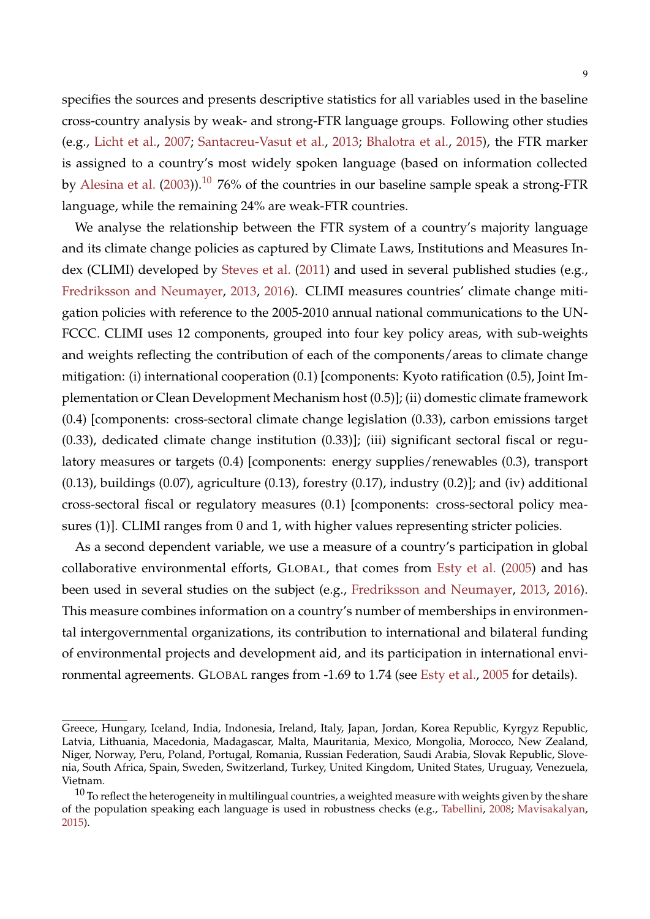specifies the sources and presents descriptive statistics for all variables used in the baseline cross-country analysis by weak- and strong-FTR language groups. Following other studies (e.g., [Licht et al.,](#page-28-2) [2007;](#page-28-2) [Santacreu-Vasut et al.,](#page-29-9) [2013;](#page-29-9) [Bhalotra et al.,](#page-24-1) [2015\)](#page-24-1), the FTR marker is assigned to a country's most widely spoken language (based on information collected by [Alesina et al.](#page-24-8) [\(2003\)](#page-24-8)).<sup>[10](#page-9-0)</sup> 76% of the countries in our baseline sample speak a strong-FTR language, while the remaining 24% are weak-FTR countries.

We analyse the relationship between the FTR system of a country's majority language and its climate change policies as captured by Climate Laws, Institutions and Measures Index (CLIMI) developed by [Steves et al.](#page-29-8) [\(2011\)](#page-29-8) and used in several published studies (e.g., [Fredriksson and Neumayer,](#page-26-5) [2013,](#page-26-5) [2016\)](#page-26-11). CLIMI measures countries' climate change mitigation policies with reference to the 2005-2010 annual national communications to the UN-FCCC. CLIMI uses 12 components, grouped into four key policy areas, with sub-weights and weights reflecting the contribution of each of the components/areas to climate change mitigation: (i) international cooperation (0.1) [components: Kyoto ratification (0.5), Joint Implementation or Clean Development Mechanism host (0.5)]; (ii) domestic climate framework (0.4) [components: cross-sectoral climate change legislation (0.33), carbon emissions target (0.33), dedicated climate change institution (0.33)]; (iii) significant sectoral fiscal or regulatory measures or targets (0.4) [components: energy supplies/renewables (0.3), transport  $(0.13)$ , buildings  $(0.07)$ , agriculture  $(0.13)$ , forestry  $(0.17)$ , industry  $(0.2)$ ]; and  $(iv)$  additional cross-sectoral fiscal or regulatory measures (0.1) [components: cross-sectoral policy measures (1)]. CLIMI ranges from 0 and 1, with higher values representing stricter policies.

As a second dependent variable, we use a measure of a country's participation in global collaborative environmental efforts, GLOBAL, that comes from [Esty et al.](#page-25-13) [\(2005\)](#page-25-13) and has been used in several studies on the subject (e.g., [Fredriksson and Neumayer,](#page-26-5) [2013,](#page-26-5) [2016\)](#page-26-11). This measure combines information on a country's number of memberships in environmental intergovernmental organizations, its contribution to international and bilateral funding of environmental projects and development aid, and its participation in international environmental agreements. GLOBAL ranges from -1.69 to 1.74 (see [Esty et al.,](#page-25-13) [2005](#page-25-13) for details).

Greece, Hungary, Iceland, India, Indonesia, Ireland, Italy, Japan, Jordan, Korea Republic, Kyrgyz Republic, Latvia, Lithuania, Macedonia, Madagascar, Malta, Mauritania, Mexico, Mongolia, Morocco, New Zealand, Niger, Norway, Peru, Poland, Portugal, Romania, Russian Federation, Saudi Arabia, Slovak Republic, Slovenia, South Africa, Spain, Sweden, Switzerland, Turkey, United Kingdom, United States, Uruguay, Venezuela, Vietnam.

<span id="page-9-0"></span> $10$  To reflect the heterogeneity in multilingual countries, a weighted measure with weights given by the share of the population speaking each language is used in robustness checks (e.g., [Tabellini,](#page-29-3) [2008;](#page-29-3) [Mavisakalyan,](#page-28-1) [2015\)](#page-28-1).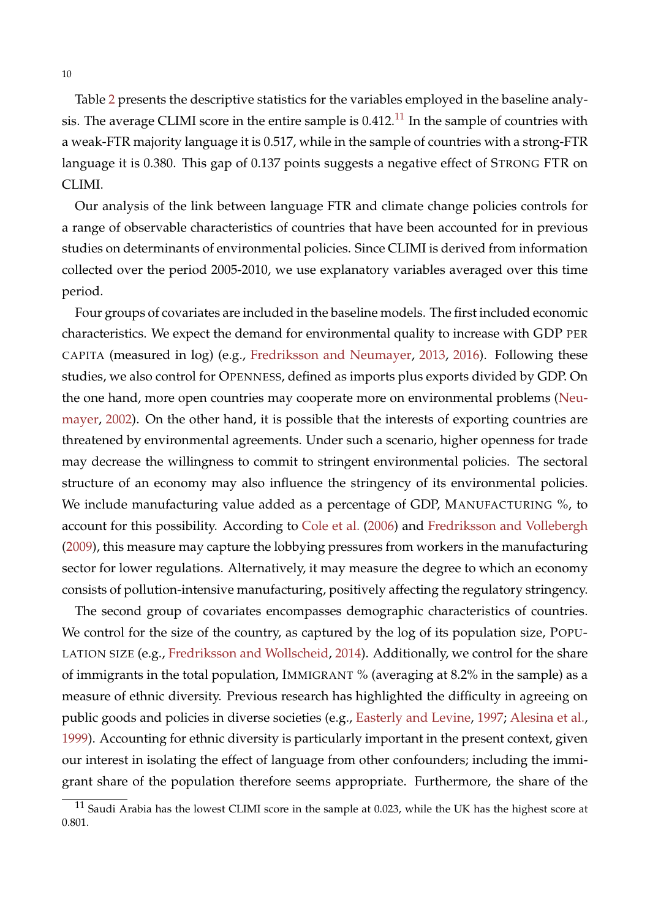Table [2](#page-33-0) presents the descriptive statistics for the variables employed in the baseline analysis. The average CLIMI score in the entire sample is  $0.412$ .<sup>[11](#page-10-0)</sup> In the sample of countries with a weak-FTR majority language it is 0.517, while in the sample of countries with a strong-FTR language it is 0.380. This gap of 0.137 points suggests a negative effect of STRONG FTR on CLIMI.

Our analysis of the link between language FTR and climate change policies controls for a range of observable characteristics of countries that have been accounted for in previous studies on determinants of environmental policies. Since CLIMI is derived from information collected over the period 2005-2010, we use explanatory variables averaged over this time period.

Four groups of covariates are included in the baseline models. The first included economic characteristics. We expect the demand for environmental quality to increase with GDP PER CAPITA (measured in log) (e.g., [Fredriksson and Neumayer,](#page-26-5) [2013,](#page-26-5) [2016\)](#page-26-11). Following these studies, we also control for OPENNESS, defined as imports plus exports divided by GDP. On the one hand, more open countries may cooperate more on environmental problems [\(Neu](#page-28-8)[mayer,](#page-28-8) [2002\)](#page-28-8). On the other hand, it is possible that the interests of exporting countries are threatened by environmental agreements. Under such a scenario, higher openness for trade may decrease the willingness to commit to stringent environmental policies. The sectoral structure of an economy may also influence the stringency of its environmental policies. We include manufacturing value added as a percentage of GDP, MANUFACTURING %, to account for this possibility. According to [Cole et al.](#page-25-14) [\(2006\)](#page-25-14) and [Fredriksson and Vollebergh](#page-26-12) [\(2009\)](#page-26-12), this measure may capture the lobbying pressures from workers in the manufacturing sector for lower regulations. Alternatively, it may measure the degree to which an economy consists of pollution-intensive manufacturing, positively affecting the regulatory stringency.

The second group of covariates encompasses demographic characteristics of countries. We control for the size of the country, as captured by the log of its population size, POPU-LATION SIZE (e.g., [Fredriksson and Wollscheid,](#page-26-13) [2014\)](#page-26-13). Additionally, we control for the share of immigrants in the total population, IMMIGRANT % (averaging at 8.2% in the sample) as a measure of ethnic diversity. Previous research has highlighted the difficulty in agreeing on public goods and policies in diverse societies (e.g., [Easterly and Levine,](#page-25-15) [1997;](#page-25-15) [Alesina et al.,](#page-24-9) [1999\)](#page-24-9). Accounting for ethnic diversity is particularly important in the present context, given our interest in isolating the effect of language from other confounders; including the immigrant share of the population therefore seems appropriate. Furthermore, the share of the

<span id="page-10-0"></span> $11$  Saudi Arabia has the lowest CLIMI score in the sample at 0.023, while the UK has the highest score at 0.801.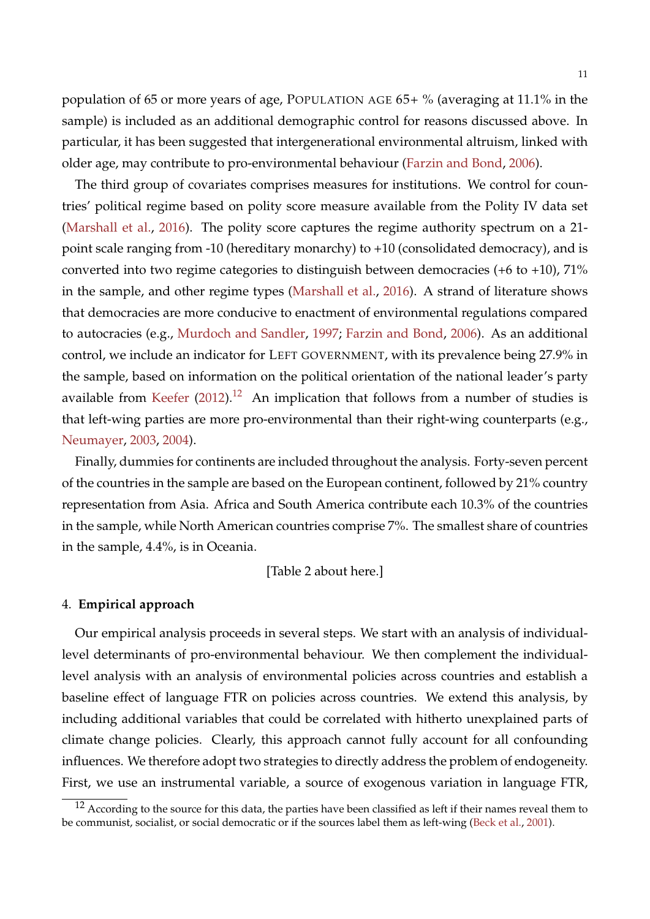population of 65 or more years of age, POPULATION AGE 65+ % (averaging at 11.1% in the sample) is included as an additional demographic control for reasons discussed above. In particular, it has been suggested that intergenerational environmental altruism, linked with older age, may contribute to pro-environmental behaviour [\(Farzin and Bond,](#page-26-10) [2006\)](#page-26-10).

The third group of covariates comprises measures for institutions. We control for countries' political regime based on polity score measure available from the Polity IV data set [\(Marshall et al.,](#page-28-7) [2016\)](#page-28-7). The polity score captures the regime authority spectrum on a 21 point scale ranging from -10 (hereditary monarchy) to +10 (consolidated democracy), and is converted into two regime categories to distinguish between democracies (+6 to +10), 71% in the sample, and other regime types [\(Marshall et al.,](#page-28-7) [2016\)](#page-28-7). A strand of literature shows that democracies are more conducive to enactment of environmental regulations compared to autocracies (e.g., [Murdoch and Sandler,](#page-28-9) [1997;](#page-28-9) [Farzin and Bond,](#page-26-10) [2006\)](#page-26-10). As an additional control, we include an indicator for LEFT GOVERNMENT, with its prevalence being 27.9% in the sample, based on information on the political orientation of the national leader's party available from [Keefer](#page-27-9)  $(2012).^{12}$  $(2012).^{12}$  $(2012).^{12}$  $(2012).^{12}$  An implication that follows from a number of studies is that left-wing parties are more pro-environmental than their right-wing counterparts (e.g., [Neumayer,](#page-28-10) [2003,](#page-28-10) [2004\)](#page-28-11).

Finally, dummies for continents are included throughout the analysis. Forty-seven percent of the countries in the sample are based on the European continent, followed by 21% country representation from Asia. Africa and South America contribute each 10.3% of the countries in the sample, while North American countries comprise 7%. The smallest share of countries in the sample, 4.4%, is in Oceania.

[Table 2 about here.]

#### <span id="page-11-0"></span>4. **Empirical approach**

Our empirical analysis proceeds in several steps. We start with an analysis of individuallevel determinants of pro-environmental behaviour. We then complement the individuallevel analysis with an analysis of environmental policies across countries and establish a baseline effect of language FTR on policies across countries. We extend this analysis, by including additional variables that could be correlated with hitherto unexplained parts of climate change policies. Clearly, this approach cannot fully account for all confounding influences. We therefore adopt two strategies to directly address the problem of endogeneity. First, we use an instrumental variable, a source of exogenous variation in language FTR,

<span id="page-11-1"></span> $12$  According to the source for this data, the parties have been classified as left if their names reveal them to be communist, socialist, or social democratic or if the sources label them as left-wing [\(Beck et al.,](#page-24-10) [2001\)](#page-24-10).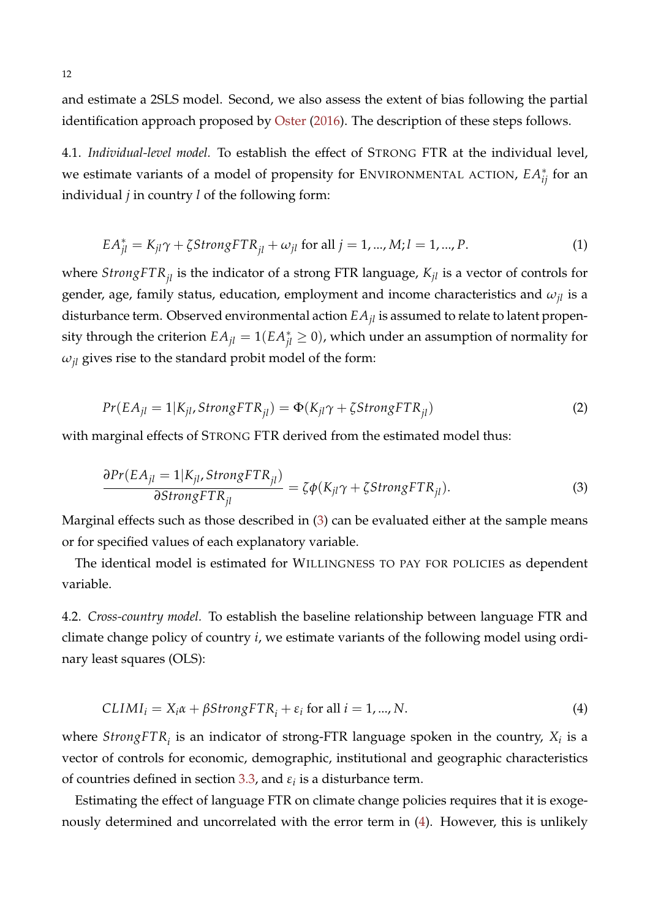and estimate a 2SLS model. Second, we also assess the extent of bias following the partial identification approach proposed by [Oster](#page-28-12) [\(2016\)](#page-28-12). The description of these steps follows.

4.1. *Individual-level model.* To establish the effect of STRONG FTR at the individual level, we estimate variants of a model of propensity for ENVIRONMENTAL ACTION, *EA*<sup>∗</sup> *ij* for an individual *j* in country *l* of the following form:

$$
EA_{jl}^* = K_{jl}\gamma + \zeta StrongETR_{jl} + \omega_{jl} \text{ for all } j = 1, ..., M; l = 1, ..., P.
$$
 (1)

where *StrongFTRjl* is the indicator of a strong FTR language, *Kjl* is a vector of controls for gender, age, family status, education, employment and income characteristics and *ωjl* is a disturbance term. Observed environmental action  $EA_{il}$  is assumed to relate to latent propensity through the criterion  $EA_{jl} = 1(EA_{jl}^* \ge 0)$ , which under an assumption of normality for  $\omega_{jl}$  gives rise to the standard probit model of the form:

<span id="page-12-2"></span>
$$
Pr(EA_{jl} = 1|K_{jl}, StrongFTR_{jl}) = \Phi(K_{jl}\gamma + \zeta StrongFTR_{jl})
$$
\n(2)

<span id="page-12-0"></span>with marginal effects of STRONG FTR derived from the estimated model thus:

$$
\frac{\partial Pr(EA_{jl} = 1|K_{jl}, StrongSTR_{jl})}{\partial StrongSTR_{jl}} = \zeta \phi(K_{jl}\gamma + \zeta StrongFR_{jl}).
$$
\n(3)

Marginal effects such as those described in [\(3\)](#page-12-0) can be evaluated either at the sample means or for specified values of each explanatory variable.

The identical model is estimated for WILLINGNESS TO PAY FOR POLICIES as dependent variable.

4.2. *Cross-country model.* To establish the baseline relationship between language FTR and climate change policy of country *i*, we estimate variants of the following model using ordinary least squares (OLS):

<span id="page-12-1"></span>
$$
CLIMIi = Xi \alpha + \beta StrongFTRi + \varepsiloni for all i = 1, ..., N.
$$
 (4)

where  $StrongFTR_{i}$  is an indicator of strong-FTR language spoken in the country,  $X_{i}$  is a vector of controls for economic, demographic, institutional and geographic characteristics of countries defined in section [3.3,](#page-8-1) and  $\varepsilon_i$  is a disturbance term.

Estimating the effect of language FTR on climate change policies requires that it is exogenously determined and uncorrelated with the error term in [\(4\)](#page-12-1). However, this is unlikely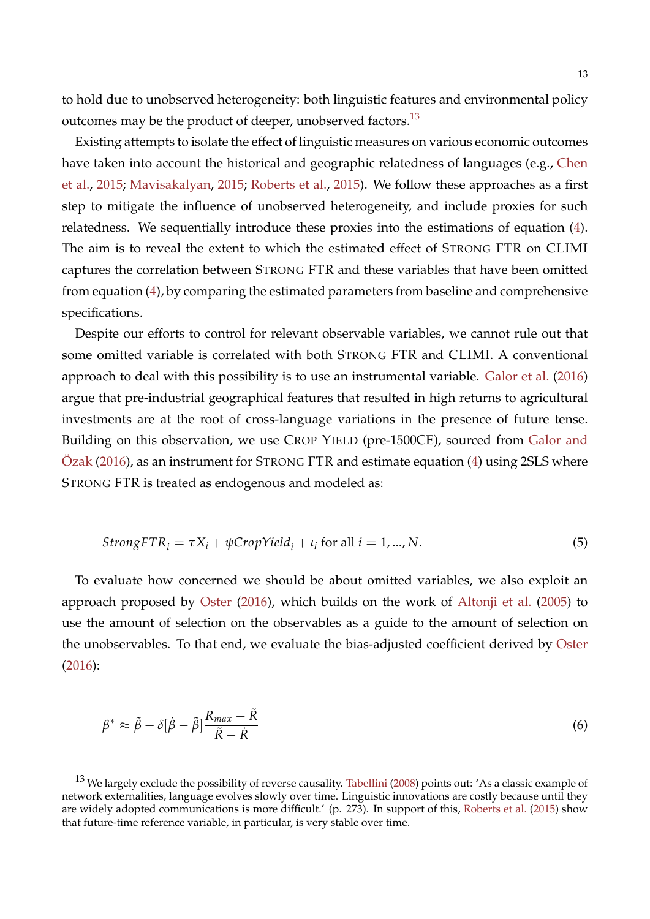to hold due to unobserved heterogeneity: both linguistic features and environmental policy outcomes may be the product of deeper, unobserved factors.<sup>[13](#page-13-0)</sup>

Existing attempts to isolate the effect of linguistic measures on various economic outcomes have taken into account the historical and geographic relatedness of languages (e.g., [Chen](#page-25-1) [et al.,](#page-25-1) [2015;](#page-25-1) [Mavisakalyan,](#page-28-1) [2015;](#page-28-1) [Roberts et al.,](#page-28-13) [2015\)](#page-28-13). We follow these approaches as a first step to mitigate the influence of unobserved heterogeneity, and include proxies for such relatedness. We sequentially introduce these proxies into the estimations of equation [\(4\)](#page-12-1). The aim is to reveal the extent to which the estimated effect of STRONG FTR on CLIMI captures the correlation between STRONG FTR and these variables that have been omitted from equation [\(4\)](#page-12-1), by comparing the estimated parameters from baseline and comprehensive specifications.

Despite our efforts to control for relevant observable variables, we cannot rule out that some omitted variable is correlated with both STRONG FTR and CLIMI. A conventional approach to deal with this possibility is to use an instrumental variable. [Galor et al.](#page-26-0) [\(2016\)](#page-26-0) argue that pre-industrial geographical features that resulted in high returns to agricultural investments are at the root of cross-language variations in the presence of future tense. Building on this observation, we use CROP YIELD (pre-1500CE), sourced from [Galor and](#page-26-14) [Ozak](#page-26-14)  $(2016)$ , as an instrument for STRONG FTR and estimate equation  $(4)$  using 2SLS where STRONG FTR is treated as endogenous and modeled as:

$$
StrongFTR_i = \tau X_i + \psi \text{CropYield}_i + \iota_i \text{ for all } i = 1, ..., N. \tag{5}
$$

To evaluate how concerned we should be about omitted variables, we also exploit an approach proposed by [Oster](#page-28-12) [\(2016\)](#page-28-12), which builds on the work of [Altonji et al.](#page-24-11) [\(2005\)](#page-24-11) to use the amount of selection on the observables as a guide to the amount of selection on the unobservables. To that end, we evaluate the bias-adjusted coefficient derived by [Oster](#page-28-12) [\(2016\)](#page-28-12):

<span id="page-13-1"></span>
$$
\beta^* \approx \tilde{\beta} - \delta[\dot{\beta} - \tilde{\beta}] \frac{R_{max} - \tilde{R}}{\tilde{R} - \dot{R}}
$$
\n(6)

<span id="page-13-0"></span><sup>&</sup>lt;sup>13</sup> We largely exclude the possibility of reverse causality. [Tabellini](#page-29-3) [\(2008\)](#page-29-3) points out: 'As a classic example of network externalities, language evolves slowly over time. Linguistic innovations are costly because until they are widely adopted communications is more difficult.' (p. 273). In support of this, [Roberts et al.](#page-28-13) [\(2015\)](#page-28-13) show that future-time reference variable, in particular, is very stable over time.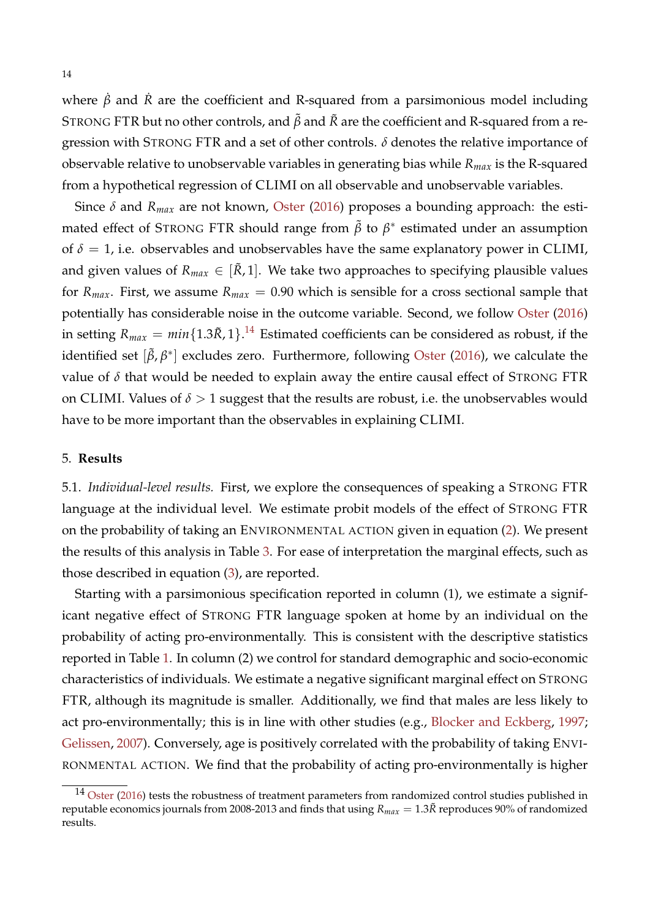where  $\dot{\beta}$  and  $\dot{R}$  are the coefficient and R-squared from a parsimonious model including STRONG FTR but no other controls, and *β*˜ and *R*˜ are the coefficient and R-squared from a regression with STRONG FTR and a set of other controls. *δ* denotes the relative importance of observable relative to unobservable variables in generating bias while *Rmax* is the R-squared from a hypothetical regression of CLIMI on all observable and unobservable variables.

Since *δ* and *Rmax* are not known, [Oster](#page-28-12) [\(2016\)](#page-28-12) proposes a bounding approach: the estimated effect of STRONG FTR should range from  $\tilde{\beta}$  to  $\beta^*$  estimated under an assumption of  $\delta = 1$ , i.e. observables and unobservables have the same explanatory power in CLIMI, and given values of  $R_{max} \in [\tilde{R}, 1]$ . We take two approaches to specifying plausible values for  $R_{max}$ . First, we assume  $R_{max} = 0.90$  which is sensible for a cross sectional sample that potentially has considerable noise in the outcome variable. Second, we follow [Oster](#page-28-12) [\(2016\)](#page-28-12) in setting  $R_{max} = min\{1.3\tilde{R}, 1\}$ .<sup>[14](#page-14-1)</sup> Estimated coefficients can be considered as robust, if the identified set [ $\tilde{\beta}$ , $\beta^*$ ] excludes zero. Furthermore, following [Oster](#page-28-12) [\(2016\)](#page-28-12), we calculate the value of  $\delta$  that would be needed to explain away the entire causal effect of STRONG FTR on CLIMI. Values of  $\delta > 1$  suggest that the results are robust, i.e. the unobservables would have to be more important than the observables in explaining CLIMI.

#### <span id="page-14-0"></span>5. **Results**

5.1. *Individual-level results.* First, we explore the consequences of speaking a STRONG FTR language at the individual level. We estimate probit models of the effect of STRONG FTR on the probability of taking an ENVIRONMENTAL ACTION given in equation [\(2\)](#page-12-2). We present the results of this analysis in Table [3.](#page-34-0) For ease of interpretation the marginal effects, such as those described in equation [\(3\)](#page-12-0), are reported.

Starting with a parsimonious specification reported in column (1), we estimate a significant negative effect of STRONG FTR language spoken at home by an individual on the probability of acting pro-environmentally. This is consistent with the descriptive statistics reported in Table [1.](#page-32-0) In column (2) we control for standard demographic and socio-economic characteristics of individuals. We estimate a negative significant marginal effect on STRONG FTR, although its magnitude is smaller. Additionally, we find that males are less likely to act pro-environmentally; this is in line with other studies (e.g., [Blocker and Eckberg,](#page-24-7) [1997;](#page-24-7) [Gelissen,](#page-26-2) [2007\)](#page-26-2). Conversely, age is positively correlated with the probability of taking ENVI-RONMENTAL ACTION. We find that the probability of acting pro-environmentally is higher

<span id="page-14-1"></span> $14$  [Oster](#page-28-12) [\(2016\)](#page-28-12) tests the robustness of treatment parameters from randomized control studies published in reputable economics journals from 2008-2013 and finds that using  $R_{max} = 1.3\tilde{R}$  reproduces 90% of randomized results.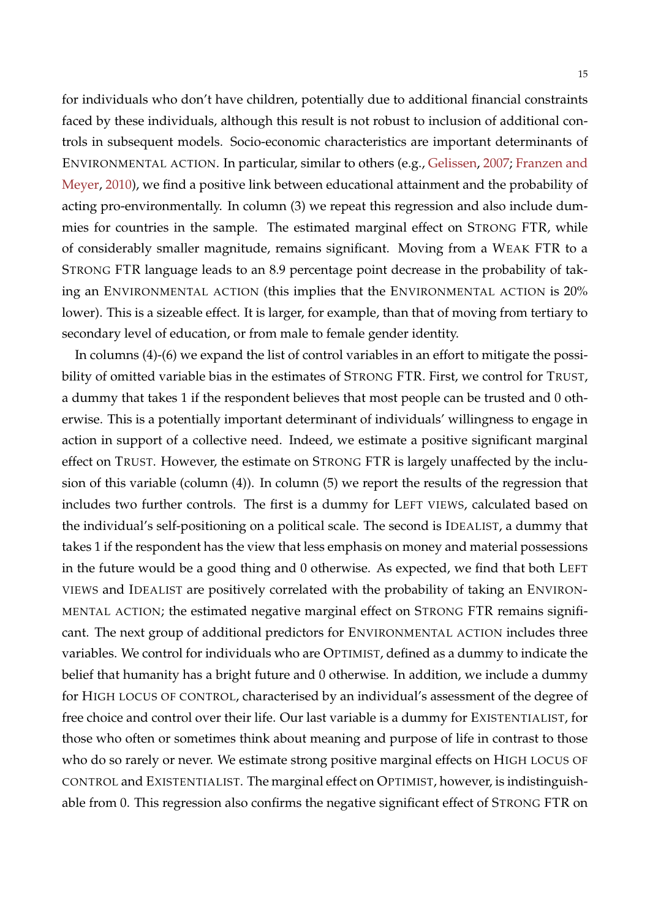for individuals who don't have children, potentially due to additional financial constraints faced by these individuals, although this result is not robust to inclusion of additional controls in subsequent models. Socio-economic characteristics are important determinants of ENVIRONMENTAL ACTION. In particular, similar to others (e.g., [Gelissen,](#page-26-2) [2007;](#page-26-2) [Franzen and](#page-26-3) [Meyer,](#page-26-3) [2010\)](#page-26-3), we find a positive link between educational attainment and the probability of acting pro-environmentally. In column (3) we repeat this regression and also include dummies for countries in the sample. The estimated marginal effect on STRONG FTR, while of considerably smaller magnitude, remains significant. Moving from a WEAK FTR to a STRONG FTR language leads to an 8.9 percentage point decrease in the probability of taking an ENVIRONMENTAL ACTION (this implies that the ENVIRONMENTAL ACTION is 20% lower). This is a sizeable effect. It is larger, for example, than that of moving from tertiary to secondary level of education, or from male to female gender identity.

In columns (4)-(6) we expand the list of control variables in an effort to mitigate the possibility of omitted variable bias in the estimates of STRONG FTR. First, we control for TRUST, a dummy that takes 1 if the respondent believes that most people can be trusted and 0 otherwise. This is a potentially important determinant of individuals' willingness to engage in action in support of a collective need. Indeed, we estimate a positive significant marginal effect on TRUST. However, the estimate on STRONG FTR is largely unaffected by the inclusion of this variable (column (4)). In column (5) we report the results of the regression that includes two further controls. The first is a dummy for LEFT VIEWS, calculated based on the individual's self-positioning on a political scale. The second is IDEALIST, a dummy that takes 1 if the respondent has the view that less emphasis on money and material possessions in the future would be a good thing and 0 otherwise. As expected, we find that both LEFT VIEWS and IDEALIST are positively correlated with the probability of taking an ENVIRON-MENTAL ACTION; the estimated negative marginal effect on STRONG FTR remains significant. The next group of additional predictors for ENVIRONMENTAL ACTION includes three variables. We control for individuals who are OPTIMIST, defined as a dummy to indicate the belief that humanity has a bright future and 0 otherwise. In addition, we include a dummy for HIGH LOCUS OF CONTROL, characterised by an individual's assessment of the degree of free choice and control over their life. Our last variable is a dummy for EXISTENTIALIST, for those who often or sometimes think about meaning and purpose of life in contrast to those who do so rarely or never. We estimate strong positive marginal effects on HIGH LOCUS OF CONTROL and EXISTENTIALIST. The marginal effect on OPTIMIST, however, is indistinguishable from 0. This regression also confirms the negative significant effect of STRONG FTR on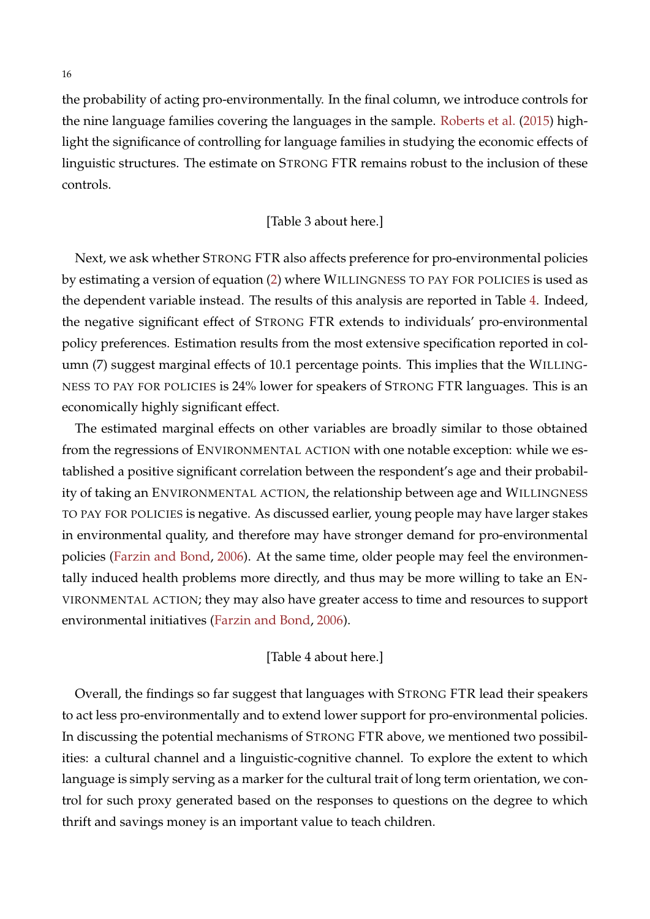the probability of acting pro-environmentally. In the final column, we introduce controls for the nine language families covering the languages in the sample. [Roberts et al.](#page-28-13) [\(2015\)](#page-28-13) highlight the significance of controlling for language families in studying the economic effects of linguistic structures. The estimate on STRONG FTR remains robust to the inclusion of these controls.

#### [Table 3 about here.]

Next, we ask whether STRONG FTR also affects preference for pro-environmental policies by estimating a version of equation [\(2\)](#page-12-2) where WILLINGNESS TO PAY FOR POLICIES is used as the dependent variable instead. The results of this analysis are reported in Table [4.](#page-35-0) Indeed, the negative significant effect of STRONG FTR extends to individuals' pro-environmental policy preferences. Estimation results from the most extensive specification reported in column (7) suggest marginal effects of 10.1 percentage points. This implies that the WILLING-NESS TO PAY FOR POLICIES is 24% lower for speakers of STRONG FTR languages. This is an economically highly significant effect.

The estimated marginal effects on other variables are broadly similar to those obtained from the regressions of ENVIRONMENTAL ACTION with one notable exception: while we established a positive significant correlation between the respondent's age and their probability of taking an ENVIRONMENTAL ACTION, the relationship between age and WILLINGNESS TO PAY FOR POLICIES is negative. As discussed earlier, young people may have larger stakes in environmental quality, and therefore may have stronger demand for pro-environmental policies [\(Farzin and Bond,](#page-26-10) [2006\)](#page-26-10). At the same time, older people may feel the environmentally induced health problems more directly, and thus may be more willing to take an EN-VIRONMENTAL ACTION; they may also have greater access to time and resources to support environmental initiatives [\(Farzin and Bond,](#page-26-10) [2006\)](#page-26-10).

#### [Table 4 about here.]

Overall, the findings so far suggest that languages with STRONG FTR lead their speakers to act less pro-environmentally and to extend lower support for pro-environmental policies. In discussing the potential mechanisms of STRONG FTR above, we mentioned two possibilities: a cultural channel and a linguistic-cognitive channel. To explore the extent to which language is simply serving as a marker for the cultural trait of long term orientation, we control for such proxy generated based on the responses to questions on the degree to which thrift and savings money is an important value to teach children.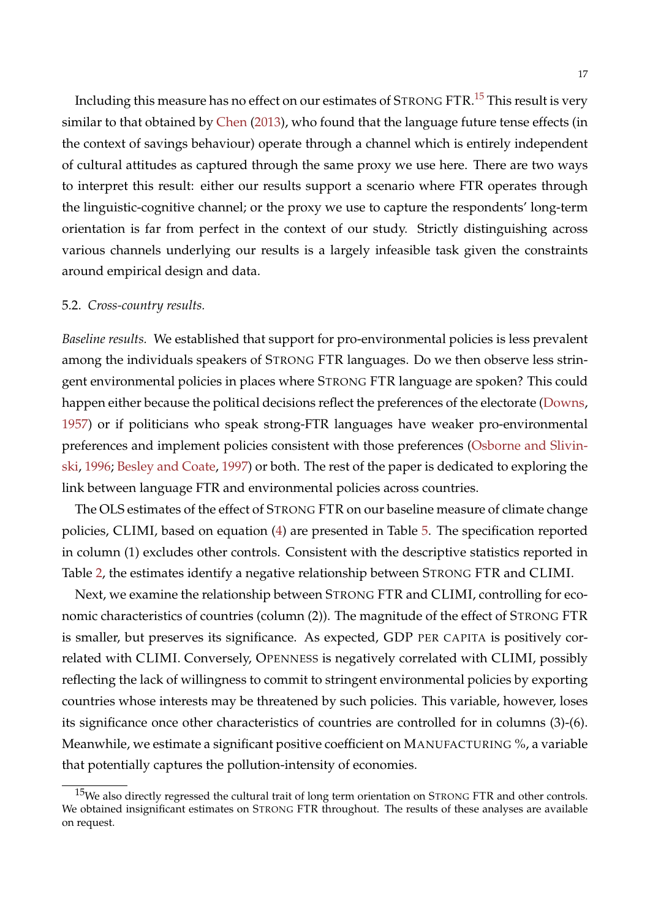Including this measure has no effect on our estimates of STRONG FTR.[15](#page-17-0) This result is very similar to that obtained by [Chen](#page-25-0) [\(2013\)](#page-25-0), who found that the language future tense effects (in the context of savings behaviour) operate through a channel which is entirely independent of cultural attitudes as captured through the same proxy we use here. There are two ways to interpret this result: either our results support a scenario where FTR operates through the linguistic-cognitive channel; or the proxy we use to capture the respondents' long-term orientation is far from perfect in the context of our study. Strictly distinguishing across various channels underlying our results is a largely infeasible task given the constraints around empirical design and data.

#### 5.2. *Cross-country results.*

*Baseline results.* We established that support for pro-environmental policies is less prevalent among the individuals speakers of STRONG FTR languages. Do we then observe less stringent environmental policies in places where STRONG FTR language are spoken? This could happen either because the political decisions reflect the preferences of the electorate [\(Downs,](#page-25-9) [1957\)](#page-25-9) or if politicians who speak strong-FTR languages have weaker pro-environmental preferences and implement policies consistent with those preferences [\(Osborne and Slivin](#page-28-5)[ski,](#page-28-5) [1996;](#page-28-5) [Besley and Coate,](#page-24-5) [1997\)](#page-24-5) or both. The rest of the paper is dedicated to exploring the link between language FTR and environmental policies across countries.

The OLS estimates of the effect of STRONG FTR on our baseline measure of climate change policies, CLIMI, based on equation [\(4\)](#page-12-1) are presented in Table [5.](#page-36-0) The specification reported in column (1) excludes other controls. Consistent with the descriptive statistics reported in Table [2,](#page-33-0) the estimates identify a negative relationship between STRONG FTR and CLIMI.

Next, we examine the relationship between STRONG FTR and CLIMI, controlling for economic characteristics of countries (column (2)). The magnitude of the effect of STRONG FTR is smaller, but preserves its significance. As expected, GDP PER CAPITA is positively correlated with CLIMI. Conversely, OPENNESS is negatively correlated with CLIMI, possibly reflecting the lack of willingness to commit to stringent environmental policies by exporting countries whose interests may be threatened by such policies. This variable, however, loses its significance once other characteristics of countries are controlled for in columns (3)-(6). Meanwhile, we estimate a significant positive coefficient on MANUFACTURING %, a variable that potentially captures the pollution-intensity of economies.

<span id="page-17-0"></span> $15$ We also directly regressed the cultural trait of long term orientation on STRONG FTR and other controls. We obtained insignificant estimates on STRONG FTR throughout. The results of these analyses are available on request.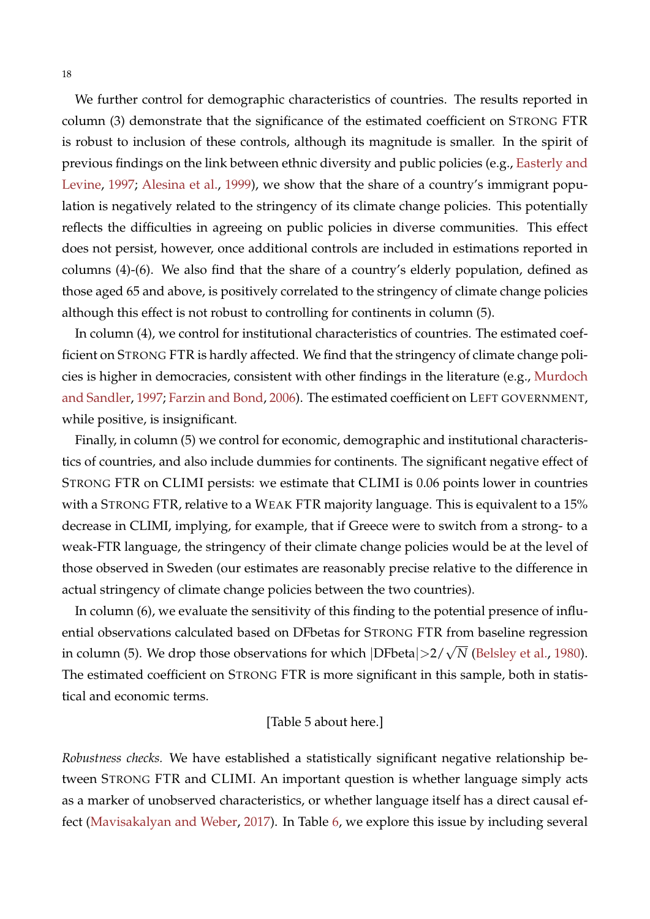We further control for demographic characteristics of countries. The results reported in column (3) demonstrate that the significance of the estimated coefficient on STRONG FTR is robust to inclusion of these controls, although its magnitude is smaller. In the spirit of previous findings on the link between ethnic diversity and public policies (e.g., [Easterly and](#page-25-15) [Levine,](#page-25-15) [1997;](#page-25-15) [Alesina et al.,](#page-24-9) [1999\)](#page-24-9), we show that the share of a country's immigrant population is negatively related to the stringency of its climate change policies. This potentially reflects the difficulties in agreeing on public policies in diverse communities. This effect does not persist, however, once additional controls are included in estimations reported in columns (4)-(6). We also find that the share of a country's elderly population, defined as those aged 65 and above, is positively correlated to the stringency of climate change policies although this effect is not robust to controlling for continents in column (5).

In column (4), we control for institutional characteristics of countries. The estimated coefficient on STRONG FTR is hardly affected. We find that the stringency of climate change policies is higher in democracies, consistent with other findings in the literature (e.g., [Murdoch](#page-28-9) [and Sandler,](#page-28-9) [1997;](#page-28-9) [Farzin and Bond,](#page-26-10) [2006\)](#page-26-10). The estimated coefficient on LEFT GOVERNMENT, while positive, is insignificant.

Finally, in column (5) we control for economic, demographic and institutional characteristics of countries, and also include dummies for continents. The significant negative effect of STRONG FTR on CLIMI persists: we estimate that CLIMI is 0.06 points lower in countries with a STRONG FTR, relative to a WEAK FTR majority language. This is equivalent to a 15% decrease in CLIMI, implying, for example, that if Greece were to switch from a strong- to a weak-FTR language, the stringency of their climate change policies would be at the level of those observed in Sweden (our estimates are reasonably precise relative to the difference in actual stringency of climate change policies between the two countries).

In column (6), we evaluate the sensitivity of this finding to the potential presence of influential observations calculated based on DFbetas for STRONG FTR from baseline regression in column (5). We drop those observations for which <sup>|</sup>DFbeta|>2/<sup>√</sup> *N* [\(Belsley et al.,](#page-24-12) [1980\)](#page-24-12). The estimated coefficient on STRONG FTR is more significant in this sample, both in statistical and economic terms.

#### [Table 5 about here.]

*Robustness checks.* We have established a statistically significant negative relationship between STRONG FTR and CLIMI. An important question is whether language simply acts as a marker of unobserved characteristics, or whether language itself has a direct causal effect [\(Mavisakalyan and Weber,](#page-28-0) [2017\)](#page-28-0). In Table [6,](#page-37-0) we explore this issue by including several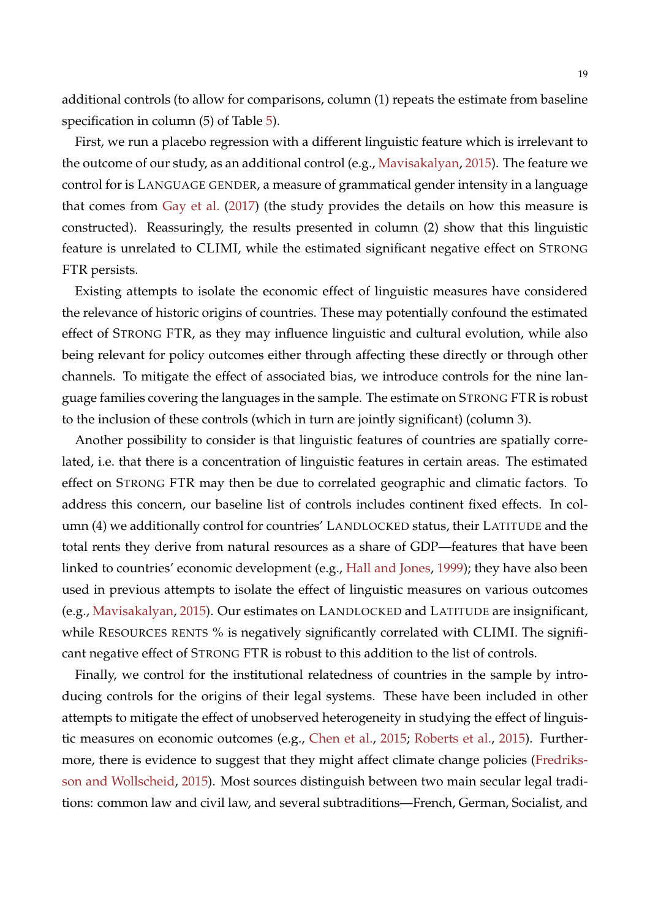additional controls (to allow for comparisons, column (1) repeats the estimate from baseline specification in column ([5\)](#page-36-0) of Table 5).

First, we run a placebo regression with a different linguistic feature which is irrelevant to the outcome of our study, as an additional control (e.g., [Mavisakalyan,](#page-28-1) [2015\)](#page-28-1). The feature we control for is LANGUAGE GENDER, a measure of grammatical gender intensity in a language that comes from [Gay et al.](#page-26-4) [\(2017\)](#page-26-4) (the study provides the details on how this measure is constructed). Reassuringly, the results presented in column (2) show that this linguistic feature is unrelated to CLIMI, while the estimated significant negative effect on STRONG FTR persists.

Existing attempts to isolate the economic effect of linguistic measures have considered the relevance of historic origins of countries. These may potentially confound the estimated effect of STRONG FTR, as they may influence linguistic and cultural evolution, while also being relevant for policy outcomes either through affecting these directly or through other channels. To mitigate the effect of associated bias, we introduce controls for the nine language families covering the languages in the sample. The estimate on STRONG FTR is robust to the inclusion of these controls (which in turn are jointly significant) (column 3).

Another possibility to consider is that linguistic features of countries are spatially correlated, i.e. that there is a concentration of linguistic features in certain areas. The estimated effect on STRONG FTR may then be due to correlated geographic and climatic factors. To address this concern, our baseline list of controls includes continent fixed effects. In column (4) we additionally control for countries' LANDLOCKED status, their LATITUDE and the total rents they derive from natural resources as a share of GDP—features that have been linked to countries' economic development (e.g., [Hall and Jones,](#page-26-15) [1999\)](#page-26-15); they have also been used in previous attempts to isolate the effect of linguistic measures on various outcomes (e.g., [Mavisakalyan,](#page-28-1) [2015\)](#page-28-1). Our estimates on LANDLOCKED and LATITUDE are insignificant, while RESOURCES RENTS % is negatively significantly correlated with CLIMI. The significant negative effect of STRONG FTR is robust to this addition to the list of controls.

Finally, we control for the institutional relatedness of countries in the sample by introducing controls for the origins of their legal systems. These have been included in other attempts to mitigate the effect of unobserved heterogeneity in studying the effect of linguistic measures on economic outcomes (e.g., [Chen et al.,](#page-25-1) [2015;](#page-25-1) [Roberts et al.,](#page-28-13) [2015\)](#page-28-13). Furthermore, there is evidence to suggest that they might affect climate change policies [\(Fredriks](#page-26-6)[son and Wollscheid,](#page-26-6) [2015\)](#page-26-6). Most sources distinguish between two main secular legal traditions: common law and civil law, and several subtraditions—French, German, Socialist, and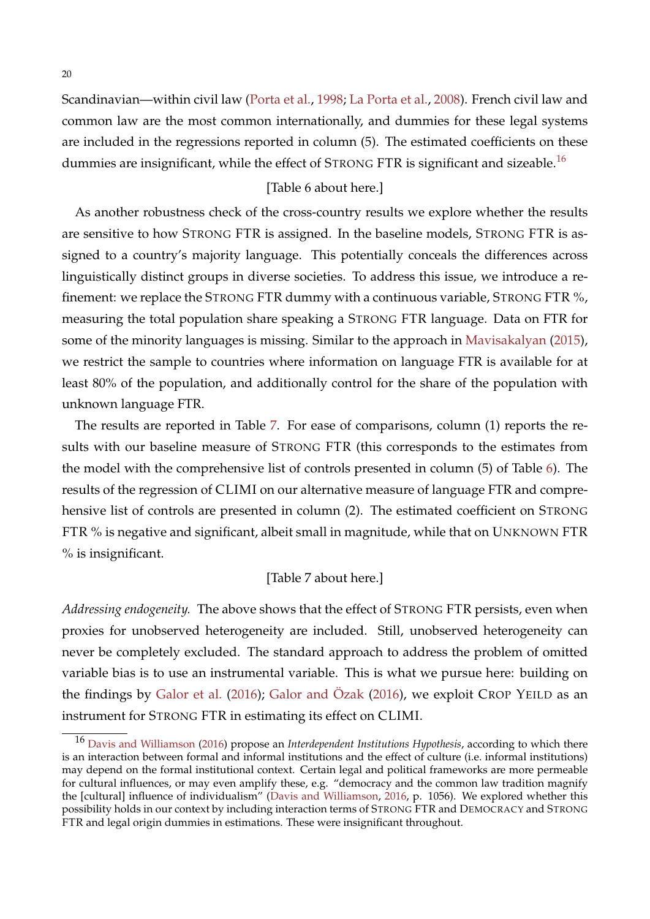Scandinavian—within civil law [\(Porta et al.,](#page-28-14) [1998;](#page-28-14) [La Porta et al.,](#page-27-10) [2008\)](#page-27-10). French civil law and common law are the most common internationally, and dummies for these legal systems are included in the regressions reported in column (5). The estimated coefficients on these dummies are insignificant, while the effect of STRONG FTR is significant and sizeable.<sup>[16](#page-20-0)</sup>

#### [Table 6 about here.]

As another robustness check of the cross-country results we explore whether the results are sensitive to how STRONG FTR is assigned. In the baseline models, STRONG FTR is assigned to a country's majority language. This potentially conceals the differences across linguistically distinct groups in diverse societies. To address this issue, we introduce a refinement: we replace the STRONG FTR dummy with a continuous variable, STRONG FTR %, measuring the total population share speaking a STRONG FTR language. Data on FTR for some of the minority languages is missing. Similar to the approach in [Mavisakalyan](#page-28-1) [\(2015\)](#page-28-1), we restrict the sample to countries where information on language FTR is available for at least 80% of the population, and additionally control for the share of the population with unknown language FTR.

The results are reported in Table [7.](#page-38-0) For ease of comparisons, column (1) reports the results with our baseline measure of STRONG FTR (this corresponds to the estimates from the model with the comprehensive list of controls presented in column (5) of Table [6\)](#page-37-0). The results of the regression of CLIMI on our alternative measure of language FTR and comprehensive list of controls are presented in column (2). The estimated coefficient on STRONG FTR % is negative and significant, albeit small in magnitude, while that on UNKNOWN FTR % is insignificant.

#### [Table 7 about here.]

*Addressing endogeneity.* The above shows that the effect of STRONG FTR persists, even when proxies for unobserved heterogeneity are included. Still, unobserved heterogeneity can never be completely excluded. The standard approach to address the problem of omitted variable bias is to use an instrumental variable. This is what we pursue here: building on the findings by [Galor et al.](#page-26-0) [\(2016\)](#page-26-14); [Galor and](#page-26-14) Özak  $(2016)$ , we exploit CROP YEILD as an instrument for STRONG FTR in estimating its effect on CLIMI.

<span id="page-20-0"></span><sup>16</sup> [Davis and Williamson](#page-25-5) [\(2016\)](#page-25-5) propose an *Interdependent Institutions Hypothesis*, according to which there is an interaction between formal and informal institutions and the effect of culture (i.e. informal institutions) may depend on the formal institutional context. Certain legal and political frameworks are more permeable for cultural influences, or may even amplify these, e.g. "democracy and the common law tradition magnify the [cultural] influence of individualism" [\(Davis and Williamson,](#page-25-5) [2016,](#page-25-5) p. 1056). We explored whether this possibility holds in our context by including interaction terms of STRONG FTR and DEMOCRACY and STRONG FTR and legal origin dummies in estimations. These were insignificant throughout.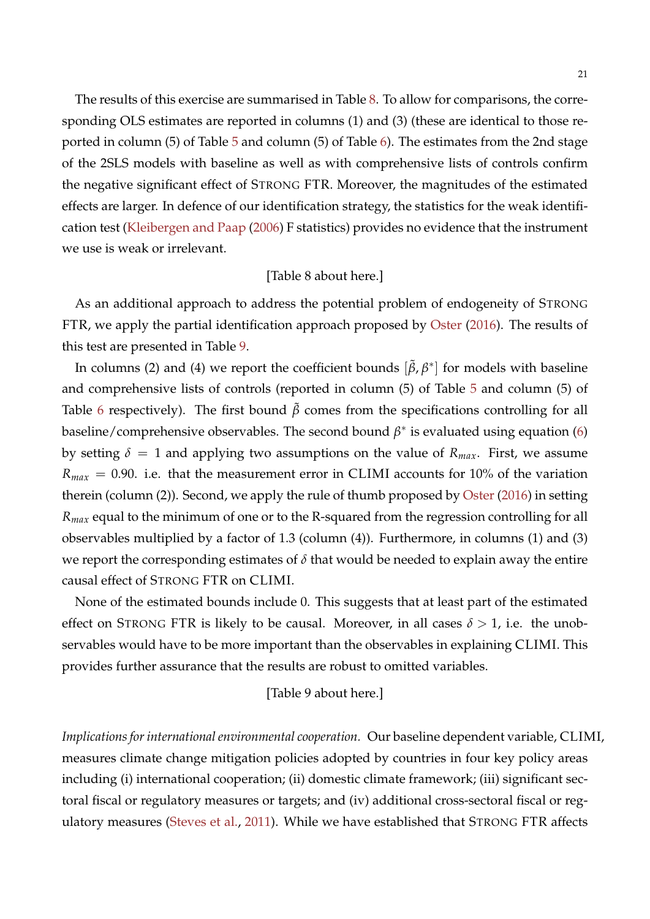The results of this exercise are summarised in Table [8.](#page-39-0) To allow for comparisons, the corresponding OLS estimates are reported in columns (1) and (3) (these are identical to those reported in column (5) of Table [5](#page-36-0) and column (5) of Table [6\)](#page-37-0). The estimates from the 2nd stage of the 2SLS models with baseline as well as with comprehensive lists of controls confirm the negative significant effect of STRONG FTR. Moreover, the magnitudes of the estimated effects are larger. In defence of our identification strategy, the statistics for the weak identification test [\(Kleibergen and Paap](#page-27-11) [\(2006\)](#page-27-11) F statistics) provides no evidence that the instrument we use is weak or irrelevant.

#### [Table 8 about here.]

As an additional approach to address the potential problem of endogeneity of STRONG FTR, we apply the partial identification approach proposed by [Oster](#page-28-12) [\(2016\)](#page-28-12). The results of this test are presented in Table [9.](#page-40-0)

In columns (2) and (4) we report the coefficient bounds  $[\tilde{\beta}, \beta^*]$  for models with baseline and comprehensive lists of controls (reported in column (5) of Table [5](#page-36-0) and column (5) of Table [6](#page-37-0) respectively). The first bound  $\beta$  comes from the specifications controlling for all baseline/comprehensive observables. The second bound  $\beta^*$  is evaluated using equation [\(6\)](#page-13-1) by setting  $\delta = 1$  and applying two assumptions on the value of  $R_{max}$ . First, we assume  $R_{max}$  = 0.90. i.e. that the measurement error in CLIMI accounts for 10% of the variation therein (column (2)). Second, we apply the rule of thumb proposed by [Oster](#page-28-12) [\(2016\)](#page-28-12) in setting *Rmax* equal to the minimum of one or to the R-squared from the regression controlling for all observables multiplied by a factor of 1.3 (column (4)). Furthermore, in columns (1) and (3) we report the corresponding estimates of *δ* that would be needed to explain away the entire causal effect of STRONG FTR on CLIMI.

None of the estimated bounds include 0. This suggests that at least part of the estimated effect on STRONG FTR is likely to be causal. Moreover, in all cases  $\delta > 1$ , i.e. the unobservables would have to be more important than the observables in explaining CLIMI. This provides further assurance that the results are robust to omitted variables.

### [Table 9 about here.]

*Implications for international environmental cooperation.* Our baseline dependent variable, CLIMI, measures climate change mitigation policies adopted by countries in four key policy areas including (i) international cooperation; (ii) domestic climate framework; (iii) significant sectoral fiscal or regulatory measures or targets; and (iv) additional cross-sectoral fiscal or regulatory measures [\(Steves et al.,](#page-29-8) [2011\)](#page-29-8). While we have established that STRONG FTR affects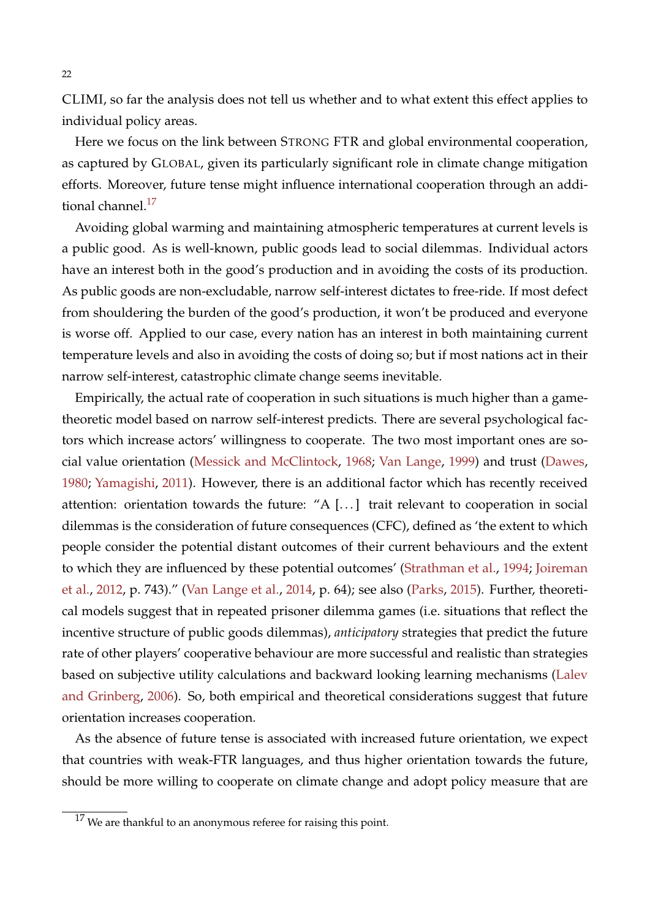CLIMI, so far the analysis does not tell us whether and to what extent this effect applies to individual policy areas.

Here we focus on the link between STRONG FTR and global environmental cooperation, as captured by GLOBAL, given its particularly significant role in climate change mitigation efforts. Moreover, future tense might influence international cooperation through an additional channel. $^{17}$  $^{17}$  $^{17}$ 

Avoiding global warming and maintaining atmospheric temperatures at current levels is a public good. As is well-known, public goods lead to social dilemmas. Individual actors have an interest both in the good's production and in avoiding the costs of its production. As public goods are non-excludable, narrow self-interest dictates to free-ride. If most defect from shouldering the burden of the good's production, it won't be produced and everyone is worse off. Applied to our case, every nation has an interest in both maintaining current temperature levels and also in avoiding the costs of doing so; but if most nations act in their narrow self-interest, catastrophic climate change seems inevitable.

Empirically, the actual rate of cooperation in such situations is much higher than a gametheoretic model based on narrow self-interest predicts. There are several psychological factors which increase actors' willingness to cooperate. The two most important ones are social value orientation [\(Messick and McClintock,](#page-28-15) [1968;](#page-28-15) [Van Lange,](#page-29-10) [1999\)](#page-29-10) and trust [\(Dawes,](#page-25-16) [1980;](#page-25-16) [Yamagishi,](#page-30-2) [2011\)](#page-30-2). However, there is an additional factor which has recently received attention: orientation towards the future: "A [. . . ] trait relevant to cooperation in social dilemmas is the consideration of future consequences (CFC), defined as 'the extent to which people consider the potential distant outcomes of their current behaviours and the extent to which they are influenced by these potential outcomes' [\(Strathman et al.,](#page-29-11) [1994;](#page-29-11) [Joireman](#page-27-12) [et al.,](#page-27-12) [2012,](#page-27-12) p. 743)." [\(Van Lange et al.,](#page-29-12) [2014,](#page-29-12) p. 64); see also [\(Parks,](#page-28-16) [2015\)](#page-28-16). Further, theoretical models suggest that in repeated prisoner dilemma games (i.e. situations that reflect the incentive structure of public goods dilemmas), *anticipatory* strategies that predict the future rate of other players' cooperative behaviour are more successful and realistic than strategies based on subjective utility calculations and backward looking learning mechanisms [\(Lalev](#page-27-13) [and Grinberg,](#page-27-13) [2006\)](#page-27-13). So, both empirical and theoretical considerations suggest that future orientation increases cooperation.

As the absence of future tense is associated with increased future orientation, we expect that countries with weak-FTR languages, and thus higher orientation towards the future, should be more willing to cooperate on climate change and adopt policy measure that are

<span id="page-22-0"></span> $17$  We are thankful to an anonymous referee for raising this point.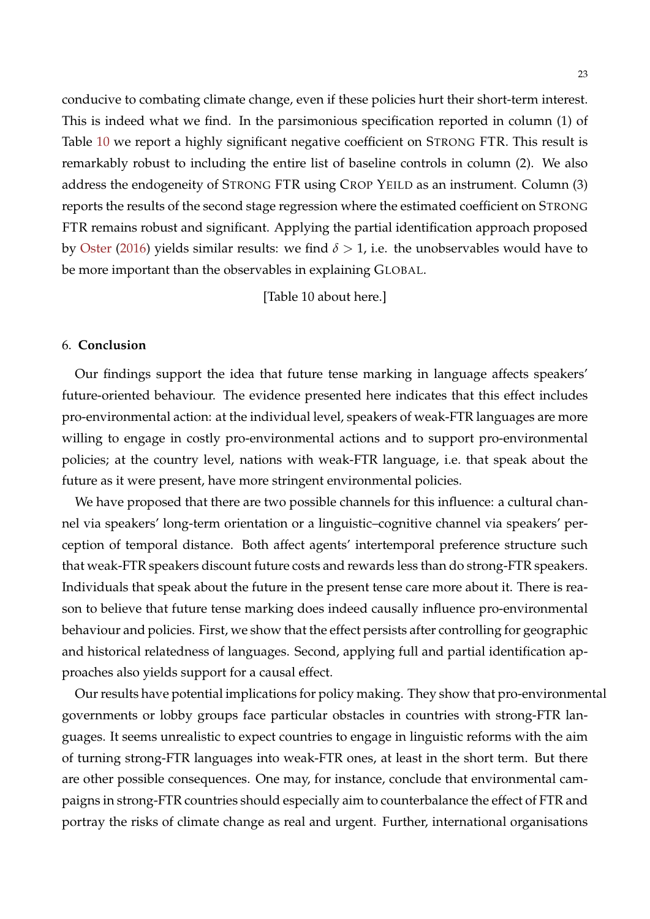conducive to combating climate change, even if these policies hurt their short-term interest. This is indeed what we find. In the parsimonious specification reported in column (1) of Table [10](#page-41-0) we report a highly significant negative coefficient on STRONG FTR. This result is remarkably robust to including the entire list of baseline controls in column (2). We also address the endogeneity of STRONG FTR using CROP YEILD as an instrument. Column (3) reports the results of the second stage regression where the estimated coefficient on STRONG FTR remains robust and significant. Applying the partial identification approach proposed by [Oster](#page-28-12) [\(2016\)](#page-28-12) yields similar results: we find  $\delta > 1$ , i.e. the unobservables would have to be more important than the observables in explaining GLOBAL.

[Table 10 about here.]

#### <span id="page-23-0"></span>6. **Conclusion**

Our findings support the idea that future tense marking in language affects speakers' future-oriented behaviour. The evidence presented here indicates that this effect includes pro-environmental action: at the individual level, speakers of weak-FTR languages are more willing to engage in costly pro-environmental actions and to support pro-environmental policies; at the country level, nations with weak-FTR language, i.e. that speak about the future as it were present, have more stringent environmental policies.

We have proposed that there are two possible channels for this influence: a cultural channel via speakers' long-term orientation or a linguistic–cognitive channel via speakers' perception of temporal distance. Both affect agents' intertemporal preference structure such that weak-FTR speakers discount future costs and rewards less than do strong-FTR speakers. Individuals that speak about the future in the present tense care more about it. There is reason to believe that future tense marking does indeed causally influence pro-environmental behaviour and policies. First, we show that the effect persists after controlling for geographic and historical relatedness of languages. Second, applying full and partial identification approaches also yields support for a causal effect.

Our results have potential implications for policy making. They show that pro-environmental governments or lobby groups face particular obstacles in countries with strong-FTR languages. It seems unrealistic to expect countries to engage in linguistic reforms with the aim of turning strong-FTR languages into weak-FTR ones, at least in the short term. But there are other possible consequences. One may, for instance, conclude that environmental campaigns in strong-FTR countries should especially aim to counterbalance the effect of FTR and portray the risks of climate change as real and urgent. Further, international organisations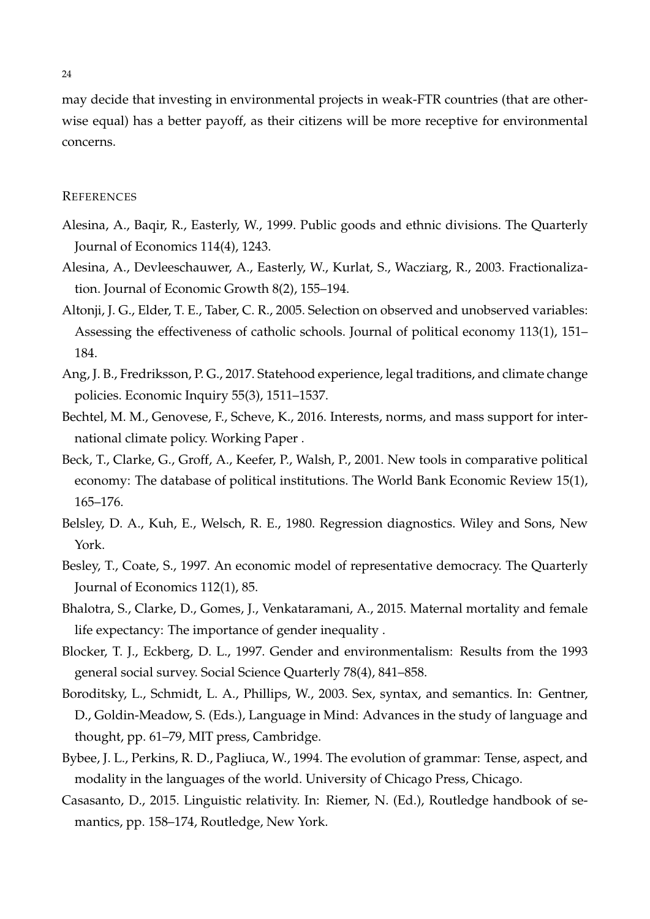may decide that investing in environmental projects in weak-FTR countries (that are otherwise equal) has a better payoff, as their citizens will be more receptive for environmental concerns.

#### **REFERENCES**

- <span id="page-24-9"></span>Alesina, A., Baqir, R., Easterly, W., 1999. Public goods and ethnic divisions. The Quarterly Journal of Economics 114(4), 1243.
- <span id="page-24-8"></span>Alesina, A., Devleeschauwer, A., Easterly, W., Kurlat, S., Wacziarg, R., 2003. Fractionalization. Journal of Economic Growth 8(2), 155–194.
- <span id="page-24-11"></span>Altonji, J. G., Elder, T. E., Taber, C. R., 2005. Selection on observed and unobserved variables: Assessing the effectiveness of catholic schools. Journal of political economy 113(1), 151– 184.
- <span id="page-24-2"></span>Ang, J. B., Fredriksson, P. G., 2017. Statehood experience, legal traditions, and climate change policies. Economic Inquiry 55(3), 1511–1537.
- <span id="page-24-0"></span>Bechtel, M. M., Genovese, F., Scheve, K., 2016. Interests, norms, and mass support for international climate policy. Working Paper .
- <span id="page-24-10"></span>Beck, T., Clarke, G., Groff, A., Keefer, P., Walsh, P., 2001. New tools in comparative political economy: The database of political institutions. The World Bank Economic Review 15(1), 165–176.
- <span id="page-24-12"></span>Belsley, D. A., Kuh, E., Welsch, R. E., 1980. Regression diagnostics. Wiley and Sons, New York.
- <span id="page-24-5"></span>Besley, T., Coate, S., 1997. An economic model of representative democracy. The Quarterly Journal of Economics 112(1), 85.
- <span id="page-24-1"></span>Bhalotra, S., Clarke, D., Gomes, J., Venkataramani, A., 2015. Maternal mortality and female life expectancy: The importance of gender inequality .
- <span id="page-24-7"></span>Blocker, T. J., Eckberg, D. L., 1997. Gender and environmentalism: Results from the 1993 general social survey. Social Science Quarterly 78(4), 841–858.
- <span id="page-24-3"></span>Boroditsky, L., Schmidt, L. A., Phillips, W., 2003. Sex, syntax, and semantics. In: Gentner, D., Goldin-Meadow, S. (Eds.), Language in Mind: Advances in the study of language and thought, pp. 61–79, MIT press, Cambridge.
- <span id="page-24-6"></span>Bybee, J. L., Perkins, R. D., Pagliuca, W., 1994. The evolution of grammar: Tense, aspect, and modality in the languages of the world. University of Chicago Press, Chicago.
- <span id="page-24-4"></span>Casasanto, D., 2015. Linguistic relativity. In: Riemer, N. (Ed.), Routledge handbook of semantics, pp. 158–174, Routledge, New York.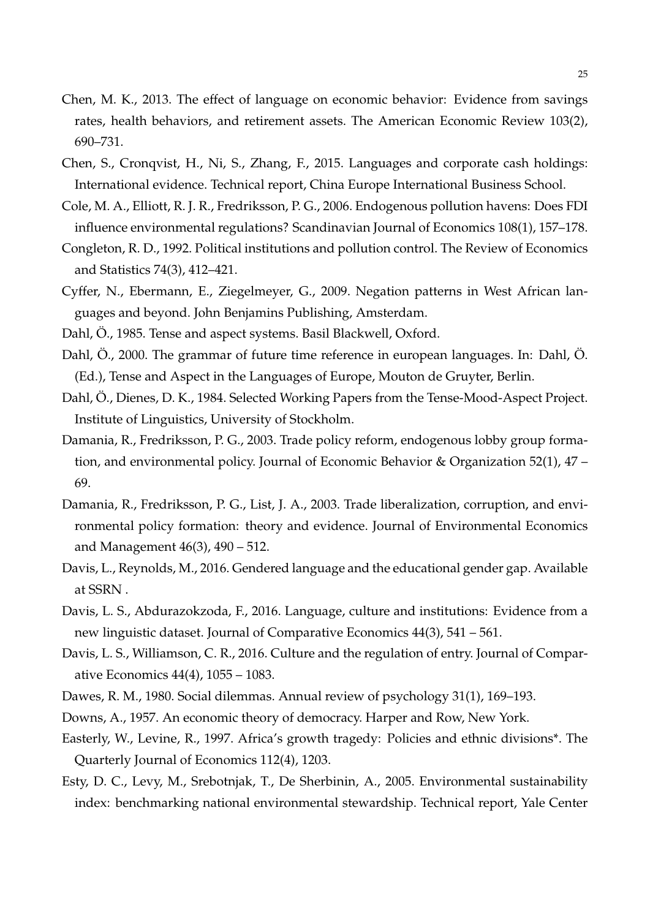- <span id="page-25-0"></span>Chen, M. K., 2013. The effect of language on economic behavior: Evidence from savings rates, health behaviors, and retirement assets. The American Economic Review 103(2), 690–731.
- <span id="page-25-1"></span>Chen, S., Cronqvist, H., Ni, S., Zhang, F., 2015. Languages and corporate cash holdings: International evidence. Technical report, China Europe International Business School.
- <span id="page-25-14"></span>Cole, M. A., Elliott, R. J. R., Fredriksson, P. G., 2006. Endogenous pollution havens: Does FDI influence environmental regulations? Scandinavian Journal of Economics 108(1), 157–178.
- <span id="page-25-7"></span>Congleton, R. D., 1992. Political institutions and pollution control. The Review of Economics and Statistics 74(3), 412–421.
- <span id="page-25-12"></span>Cyffer, N., Ebermann, E., Ziegelmeyer, G., 2009. Negation patterns in West African languages and beyond. John Benjamins Publishing, Amsterdam.
- <span id="page-25-11"></span><span id="page-25-8"></span>Dahl, Ö., 1985. Tense and aspect systems. Basil Blackwell, Oxford.
- Dahl,  $\ddot{O}$ ., 2000. The grammar of future time reference in european languages. In: Dahl,  $\ddot{O}$ . (Ed.), Tense and Aspect in the Languages of Europe, Mouton de Gruyter, Berlin.
- <span id="page-25-10"></span>Dahl, Ö., Dienes, D. K., 1984. Selected Working Papers from the Tense-Mood-Aspect Project. Institute of Linguistics, University of Stockholm.
- <span id="page-25-6"></span>Damania, R., Fredriksson, P. G., 2003. Trade policy reform, endogenous lobby group formation, and environmental policy. Journal of Economic Behavior & Organization 52(1), 47 – 69.
- <span id="page-25-2"></span>Damania, R., Fredriksson, P. G., List, J. A., 2003. Trade liberalization, corruption, and environmental policy formation: theory and evidence. Journal of Environmental Economics and Management 46(3), 490 – 512.
- <span id="page-25-3"></span>Davis, L., Reynolds, M., 2016. Gendered language and the educational gender gap. Available at SSRN .
- <span id="page-25-4"></span>Davis, L. S., Abdurazokzoda, F., 2016. Language, culture and institutions: Evidence from a new linguistic dataset. Journal of Comparative Economics 44(3), 541 – 561.
- <span id="page-25-5"></span>Davis, L. S., Williamson, C. R., 2016. Culture and the regulation of entry. Journal of Comparative Economics 44(4), 1055 – 1083.
- <span id="page-25-16"></span><span id="page-25-9"></span>Dawes, R. M., 1980. Social dilemmas. Annual review of psychology 31(1), 169–193.
- <span id="page-25-15"></span>Downs, A., 1957. An economic theory of democracy. Harper and Row, New York.
- Easterly, W., Levine, R., 1997. Africa's growth tragedy: Policies and ethnic divisions\*. The Quarterly Journal of Economics 112(4), 1203.
- <span id="page-25-13"></span>Esty, D. C., Levy, M., Srebotnjak, T., De Sherbinin, A., 2005. Environmental sustainability index: benchmarking national environmental stewardship. Technical report, Yale Center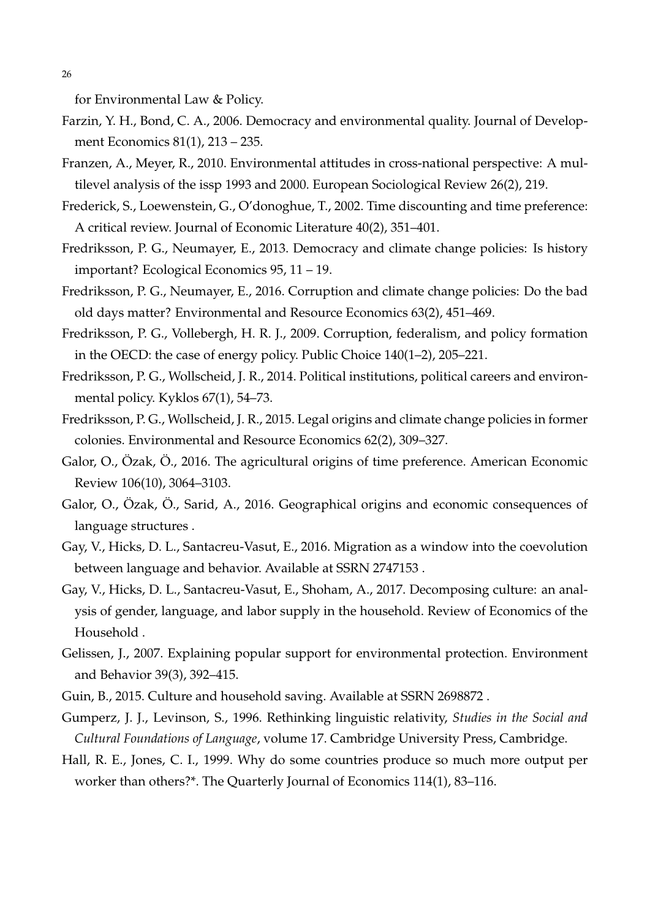26

for Environmental Law & Policy.

- <span id="page-26-10"></span>Farzin, Y. H., Bond, C. A., 2006. Democracy and environmental quality. Journal of Development Economics 81(1), 213 – 235.
- <span id="page-26-3"></span>Franzen, A., Meyer, R., 2010. Environmental attitudes in cross-national perspective: A multilevel analysis of the issp 1993 and 2000. European Sociological Review 26(2), 219.
- <span id="page-26-8"></span>Frederick, S., Loewenstein, G., O'donoghue, T., 2002. Time discounting and time preference: A critical review. Journal of Economic Literature 40(2), 351–401.
- <span id="page-26-5"></span>Fredriksson, P. G., Neumayer, E., 2013. Democracy and climate change policies: Is history important? Ecological Economics 95, 11 – 19.
- <span id="page-26-11"></span>Fredriksson, P. G., Neumayer, E., 2016. Corruption and climate change policies: Do the bad old days matter? Environmental and Resource Economics 63(2), 451–469.
- <span id="page-26-12"></span>Fredriksson, P. G., Vollebergh, H. R. J., 2009. Corruption, federalism, and policy formation in the OECD: the case of energy policy. Public Choice 140(1–2), 205–221.
- <span id="page-26-13"></span>Fredriksson, P. G., Wollscheid, J. R., 2014. Political institutions, political careers and environmental policy. Kyklos 67(1), 54–73.
- <span id="page-26-6"></span>Fredriksson, P. G., Wollscheid, J. R., 2015. Legal origins and climate change policies in former colonies. Environmental and Resource Economics 62(2), 309–327.
- <span id="page-26-14"></span>Galor, O., Ozak, O., 2016. The agricultural origins of time preference. American Economic Review 106(10), 3064–3103.
- <span id="page-26-0"></span>Galor, O., Özak, Ö., Sarid, A., 2016. Geographical origins and economic consequences of language structures .
- <span id="page-26-9"></span>Gay, V., Hicks, D. L., Santacreu-Vasut, E., 2016. Migration as a window into the coevolution between language and behavior. Available at SSRN 2747153 .
- <span id="page-26-4"></span>Gay, V., Hicks, D. L., Santacreu-Vasut, E., Shoham, A., 2017. Decomposing culture: an analysis of gender, language, and labor supply in the household. Review of Economics of the Household .
- <span id="page-26-2"></span>Gelissen, J., 2007. Explaining popular support for environmental protection. Environment and Behavior 39(3), 392–415.
- <span id="page-26-7"></span><span id="page-26-1"></span>Guin, B., 2015. Culture and household saving. Available at SSRN 2698872 .
- Gumperz, J. J., Levinson, S., 1996. Rethinking linguistic relativity, *Studies in the Social and Cultural Foundations of Language*, volume 17. Cambridge University Press, Cambridge.
- <span id="page-26-15"></span>Hall, R. E., Jones, C. I., 1999. Why do some countries produce so much more output per worker than others?\*. The Quarterly Journal of Economics 114(1), 83–116.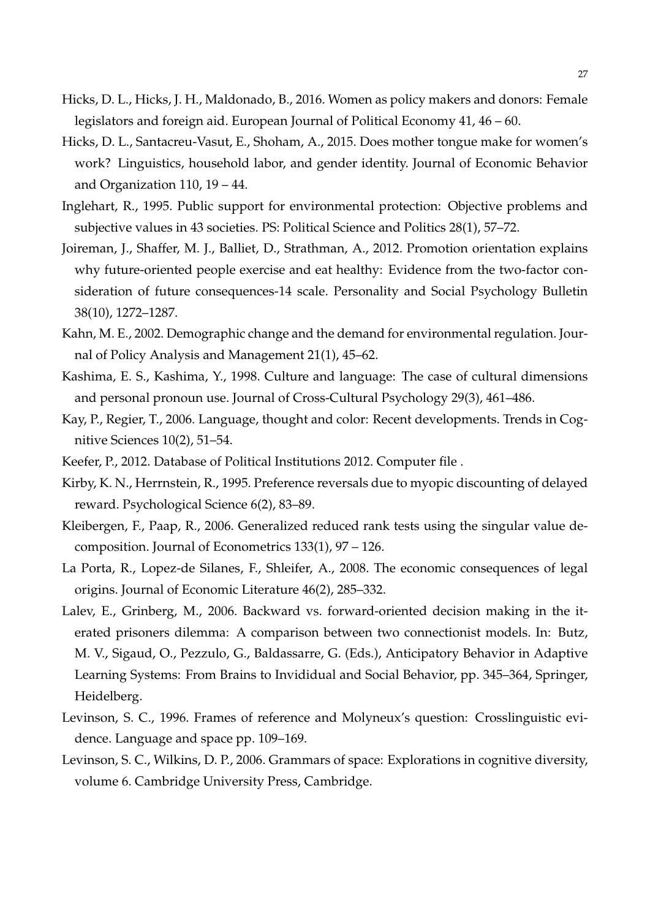- <span id="page-27-1"></span>Hicks, D. L., Hicks, J. H., Maldonado, B., 2016. Women as policy makers and donors: Female legislators and foreign aid. European Journal of Political Economy 41, 46 – 60.
- <span id="page-27-2"></span>Hicks, D. L., Santacreu-Vasut, E., Shoham, A., 2015. Does mother tongue make for women's work? Linguistics, household labor, and gender identity. Journal of Economic Behavior and Organization 110, 19 – 44.
- <span id="page-27-0"></span>Inglehart, R., 1995. Public support for environmental protection: Objective problems and subjective values in 43 societies. PS: Political Science and Politics 28(1), 57–72.
- <span id="page-27-12"></span>Joireman, J., Shaffer, M. J., Balliet, D., Strathman, A., 2012. Promotion orientation explains why future-oriented people exercise and eat healthy: Evidence from the two-factor consideration of future consequences-14 scale. Personality and Social Psychology Bulletin 38(10), 1272–1287.
- <span id="page-27-4"></span>Kahn, M. E., 2002. Demographic change and the demand for environmental regulation. Journal of Policy Analysis and Management 21(1), 45–62.
- <span id="page-27-3"></span>Kashima, E. S., Kashima, Y., 1998. Culture and language: The case of cultural dimensions and personal pronoun use. Journal of Cross-Cultural Psychology 29(3), 461–486.
- <span id="page-27-6"></span>Kay, P., Regier, T., 2006. Language, thought and color: Recent developments. Trends in Cognitive Sciences 10(2), 51–54.
- <span id="page-27-9"></span><span id="page-27-8"></span>Keefer, P., 2012. Database of Political Institutions 2012. Computer file .
- Kirby, K. N., Herrnstein, R., 1995. Preference reversals due to myopic discounting of delayed reward. Psychological Science 6(2), 83–89.
- <span id="page-27-11"></span>Kleibergen, F., Paap, R., 2006. Generalized reduced rank tests using the singular value decomposition. Journal of Econometrics 133(1), 97 – 126.
- <span id="page-27-10"></span>La Porta, R., Lopez-de Silanes, F., Shleifer, A., 2008. The economic consequences of legal origins. Journal of Economic Literature 46(2), 285–332.
- <span id="page-27-13"></span>Lalev, E., Grinberg, M., 2006. Backward vs. forward-oriented decision making in the iterated prisoners dilemma: A comparison between two connectionist models. In: Butz, M. V., Sigaud, O., Pezzulo, G., Baldassarre, G. (Eds.), Anticipatory Behavior in Adaptive Learning Systems: From Brains to Invididual and Social Behavior, pp. 345–364, Springer, Heidelberg.
- <span id="page-27-5"></span>Levinson, S. C., 1996. Frames of reference and Molyneux's question: Crosslinguistic evidence. Language and space pp. 109–169.
- <span id="page-27-7"></span>Levinson, S. C., Wilkins, D. P., 2006. Grammars of space: Explorations in cognitive diversity, volume 6. Cambridge University Press, Cambridge.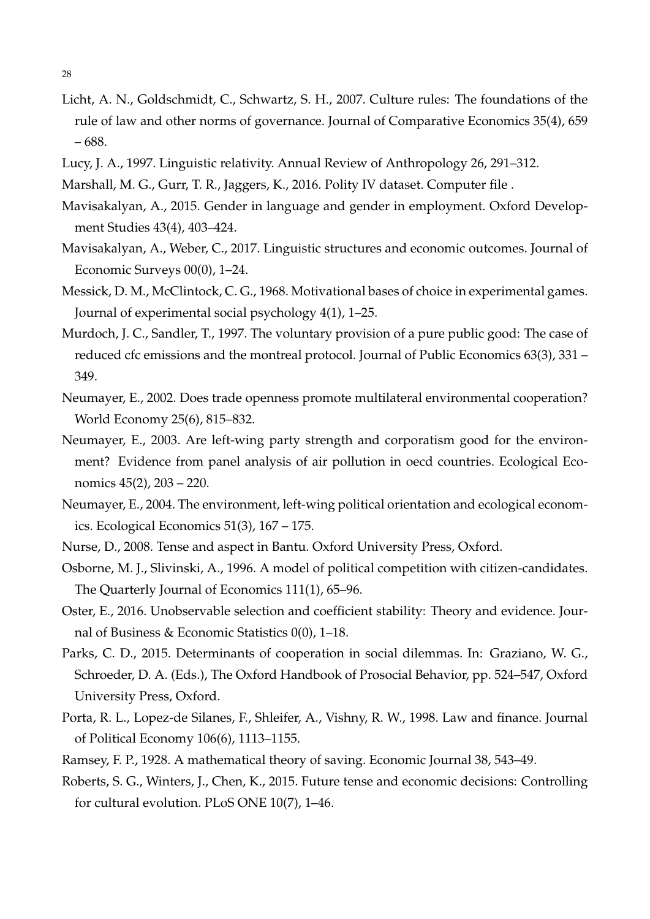- <span id="page-28-2"></span>Licht, A. N., Goldschmidt, C., Schwartz, S. H., 2007. Culture rules: The foundations of the rule of law and other norms of governance. Journal of Comparative Economics 35(4), 659 – 688.
- <span id="page-28-7"></span><span id="page-28-3"></span>Lucy, J. A., 1997. Linguistic relativity. Annual Review of Anthropology 26, 291–312.
- <span id="page-28-1"></span>Marshall, M. G., Gurr, T. R., Jaggers, K., 2016. Polity IV dataset. Computer file .
- Mavisakalyan, A., 2015. Gender in language and gender in employment. Oxford Development Studies 43(4), 403–424.
- <span id="page-28-0"></span>Mavisakalyan, A., Weber, C., 2017. Linguistic structures and economic outcomes. Journal of Economic Surveys 00(0), 1–24.
- <span id="page-28-15"></span>Messick, D. M., McClintock, C. G., 1968. Motivational bases of choice in experimental games. Journal of experimental social psychology 4(1), 1–25.
- <span id="page-28-9"></span>Murdoch, J. C., Sandler, T., 1997. The voluntary provision of a pure public good: The case of reduced cfc emissions and the montreal protocol. Journal of Public Economics 63(3), 331 – 349.
- <span id="page-28-8"></span>Neumayer, E., 2002. Does trade openness promote multilateral environmental cooperation? World Economy 25(6), 815–832.
- <span id="page-28-10"></span>Neumayer, E., 2003. Are left-wing party strength and corporatism good for the environment? Evidence from panel analysis of air pollution in oecd countries. Ecological Economics 45(2), 203 – 220.
- <span id="page-28-11"></span>Neumayer, E., 2004. The environment, left-wing political orientation and ecological economics. Ecological Economics 51(3), 167 – 175.
- <span id="page-28-6"></span><span id="page-28-5"></span>Nurse, D., 2008. Tense and aspect in Bantu. Oxford University Press, Oxford.
- Osborne, M. J., Slivinski, A., 1996. A model of political competition with citizen-candidates. The Quarterly Journal of Economics 111(1), 65–96.
- <span id="page-28-12"></span>Oster, E., 2016. Unobservable selection and coefficient stability: Theory and evidence. Journal of Business & Economic Statistics 0(0), 1–18.
- <span id="page-28-16"></span>Parks, C. D., 2015. Determinants of cooperation in social dilemmas. In: Graziano, W. G., Schroeder, D. A. (Eds.), The Oxford Handbook of Prosocial Behavior, pp. 524–547, Oxford University Press, Oxford.
- <span id="page-28-14"></span>Porta, R. L., Lopez-de Silanes, F., Shleifer, A., Vishny, R. W., 1998. Law and finance. Journal of Political Economy 106(6), 1113–1155.
- <span id="page-28-13"></span><span id="page-28-4"></span>Ramsey, F. P., 1928. A mathematical theory of saving. Economic Journal 38, 543–49.
- Roberts, S. G., Winters, J., Chen, K., 2015. Future tense and economic decisions: Controlling for cultural evolution. PLoS ONE 10(7), 1–46.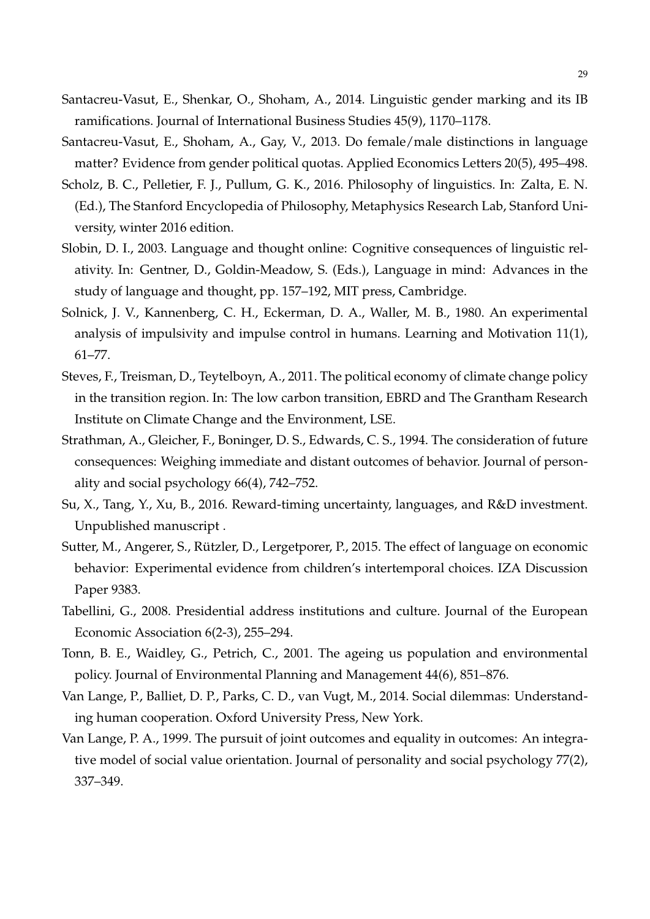- <span id="page-29-2"></span>Santacreu-Vasut, E., Shenkar, O., Shoham, A., 2014. Linguistic gender marking and its IB ramifications. Journal of International Business Studies 45(9), 1170–1178.
- <span id="page-29-9"></span>Santacreu-Vasut, E., Shoham, A., Gay, V., 2013. Do female/male distinctions in language matter? Evidence from gender political quotas. Applied Economics Letters 20(5), 495–498.
- <span id="page-29-6"></span>Scholz, B. C., Pelletier, F. J., Pullum, G. K., 2016. Philosophy of linguistics. In: Zalta, E. N. (Ed.), The Stanford Encyclopedia of Philosophy, Metaphysics Research Lab, Stanford University, winter 2016 edition.
- <span id="page-29-5"></span>Slobin, D. I., 2003. Language and thought online: Cognitive consequences of linguistic relativity. In: Gentner, D., Goldin-Meadow, S. (Eds.), Language in mind: Advances in the study of language and thought, pp. 157–192, MIT press, Cambridge.
- <span id="page-29-7"></span>Solnick, J. V., Kannenberg, C. H., Eckerman, D. A., Waller, M. B., 1980. An experimental analysis of impulsivity and impulse control in humans. Learning and Motivation 11(1), 61–77.
- <span id="page-29-8"></span>Steves, F., Treisman, D., Teytelboyn, A., 2011. The political economy of climate change policy in the transition region. In: The low carbon transition, EBRD and The Grantham Research Institute on Climate Change and the Environment, LSE.
- <span id="page-29-11"></span>Strathman, A., Gleicher, F., Boninger, D. S., Edwards, C. S., 1994. The consideration of future consequences: Weighing immediate and distant outcomes of behavior. Journal of personality and social psychology 66(4), 742–752.
- <span id="page-29-0"></span>Su, X., Tang, Y., Xu, B., 2016. Reward-timing uncertainty, languages, and R&D investment. Unpublished manuscript .
- <span id="page-29-1"></span>Sutter, M., Angerer, S., Rützler, D., Lergetporer, P., 2015. The effect of language on economic behavior: Experimental evidence from children's intertemporal choices. IZA Discussion Paper 9383.
- <span id="page-29-3"></span>Tabellini, G., 2008. Presidential address institutions and culture. Journal of the European Economic Association 6(2-3), 255–294.
- <span id="page-29-4"></span>Tonn, B. E., Waidley, G., Petrich, C., 2001. The ageing us population and environmental policy. Journal of Environmental Planning and Management 44(6), 851–876.
- <span id="page-29-12"></span>Van Lange, P., Balliet, D. P., Parks, C. D., van Vugt, M., 2014. Social dilemmas: Understanding human cooperation. Oxford University Press, New York.
- <span id="page-29-10"></span>Van Lange, P. A., 1999. The pursuit of joint outcomes and equality in outcomes: An integrative model of social value orientation. Journal of personality and social psychology 77(2), 337–349.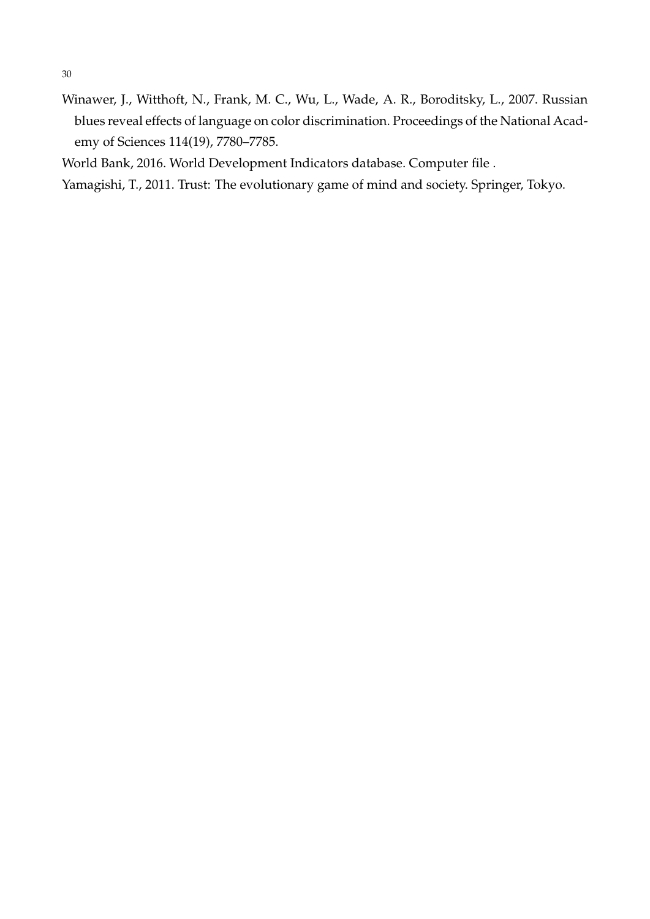- 30
- <span id="page-30-0"></span>Winawer, J., Witthoft, N., Frank, M. C., Wu, L., Wade, A. R., Boroditsky, L., 2007. Russian blues reveal effects of language on color discrimination. Proceedings of the National Academy of Sciences 114(19), 7780–7785.

<span id="page-30-1"></span>World Bank, 2016. World Development Indicators database. Computer file .

<span id="page-30-2"></span>Yamagishi, T., 2011. Trust: The evolutionary game of mind and society. Springer, Tokyo.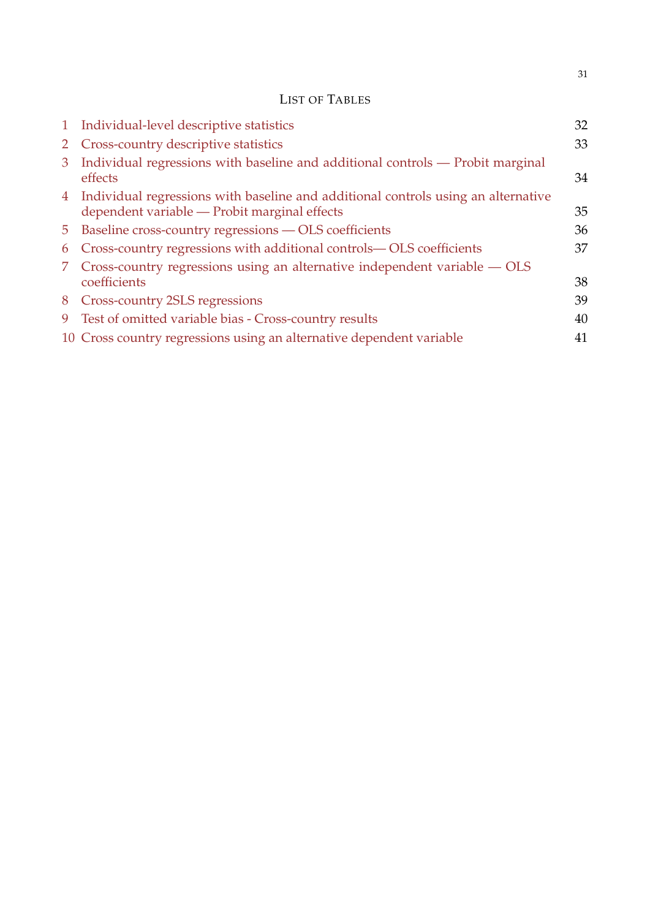### LIST OF TABLES

|                | 1 Individual-level descriptive statistics                                                                                           | 32 |
|----------------|-------------------------------------------------------------------------------------------------------------------------------------|----|
|                | 2 Cross-country descriptive statistics                                                                                              | 33 |
| 3              | Individual regressions with baseline and additional controls — Probit marginal<br>effects                                           | 34 |
|                | 4 Individual regressions with baseline and additional controls using an alternative<br>dependent variable - Probit marginal effects | 35 |
| 5 <sup>5</sup> | Baseline cross-country regressions - OLS coefficients                                                                               | 36 |
| 6              | Cross-country regressions with additional controls—OLS coefficients                                                                 | 37 |
| 7.             | Cross-country regressions using an alternative independent variable — OLS<br>coefficients                                           | 38 |
|                | 8 Cross-country 2SLS regressions                                                                                                    | 39 |
|                | 9 Test of omitted variable bias - Cross-country results                                                                             | 40 |
|                | 10 Cross country regressions using an alternative dependent variable                                                                | 41 |

31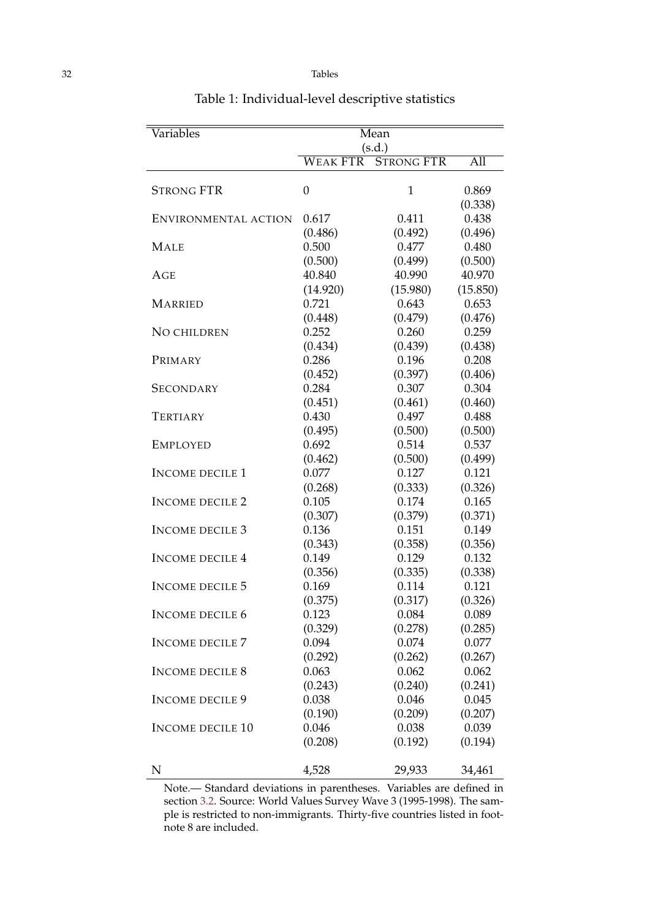| Variables               | Mean<br>(s.d.)                       |              |                  |  |
|-------------------------|--------------------------------------|--------------|------------------|--|
|                         | <b>STRONG FTR</b><br><b>WEAK FTR</b> |              | All              |  |
| <b>STRONG FTR</b>       | $\overline{0}$                       | $\mathbf{1}$ | 0.869<br>(0.338) |  |
| ENVIRONMENTAL ACTION    | 0.617                                | 0.411        | 0.438            |  |
|                         | (0.486)                              | (0.492)      | (0.496)          |  |
| <b>MALE</b>             | 0.500                                | 0.477        | 0.480            |  |
|                         | (0.500)                              | (0.499)      | (0.500)          |  |
| AGE                     | 40.840                               | 40.990       | 40.970           |  |
|                         | (14.920)                             | (15.980)     | (15.850)         |  |
| <b>MARRIED</b>          | 0.721                                | 0.643        | 0.653            |  |
| NO CHILDREN             | (0.448)                              | (0.479)      | (0.476)          |  |
|                         | 0.252                                | 0.260        | 0.259            |  |
| PRIMARY                 | (0.434)                              | (0.439)      | (0.438)          |  |
|                         | 0.286                                | 0.196        | 0.208            |  |
| <b>SECONDARY</b>        | (0.452)                              | (0.397)      | (0.406)          |  |
|                         | 0.284                                | 0.307        | 0.304            |  |
| TERTIARY                | (0.451)                              | (0.461)      | (0.460)          |  |
|                         | 0.430                                | 0.497        | 0.488            |  |
| <b>EMPLOYED</b>         | (0.495)                              | (0.500)      | (0.500)          |  |
|                         | 0.692                                | 0.514        | 0.537            |  |
| <b>INCOME DECILE 1</b>  | (0.462)                              | (0.500)      | (0.499)          |  |
|                         | 0.077                                | 0.127        | 0.121            |  |
| <b>INCOME DECILE 2</b>  | (0.268)                              | (0.333)      | (0.326)          |  |
|                         | 0.105                                | 0.174        | 0.165            |  |
| <b>INCOME DECILE 3</b>  | (0.307)                              | (0.379)      | (0.371)          |  |
|                         | 0.136                                | 0.151        | 0.149            |  |
| <b>INCOME DECILE 4</b>  | (0.343)                              | (0.358)      | (0.356)          |  |
|                         | 0.149                                | 0.129        | 0.132            |  |
| <b>INCOME DECILE 5</b>  | (0.356)                              | (0.335)      | (0.338)          |  |
|                         | 0.169                                | 0.114        | 0.121            |  |
| <b>INCOME DECILE 6</b>  | (0.375)                              | (0.317)      | (0.326)          |  |
|                         | 0.123                                | 0.084        | 0.089            |  |
| <b>INCOME DECILE 7</b>  | (0.329)                              | (0.278)      | (0.285)          |  |
|                         | 0.094                                | 0.074        | 0.077            |  |
| <b>INCOME DECILE 8</b>  | (0.292)                              | (0.262)      | (0.267)          |  |
|                         | 0.063                                | 0.062        | 0.062            |  |
| <b>INCOME DECILE 9</b>  | (0.243)                              | (0.240)      | (0.241)          |  |
|                         | 0.038                                | 0.046        | 0.045            |  |
| <b>INCOME DECILE 10</b> | (0.190)                              | (0.209)      | (0.207)          |  |
|                         | 0.046                                | 0.038        | 0.039            |  |
|                         | (0.208)                              | (0.192)      | (0.194)          |  |
| N                       | 4,528                                | 29,933       | 34,461           |  |

<span id="page-32-0"></span>Table 1: Individual-level descriptive statistics

Note.— Standard deviations in parentheses. Variables are defined in section [3.2.](#page-7-2) Source: World Values Survey Wave 3 (1995-1998). The sample is restricted to non-immigrants. Thirty-five countries listed in footnote 8 are included.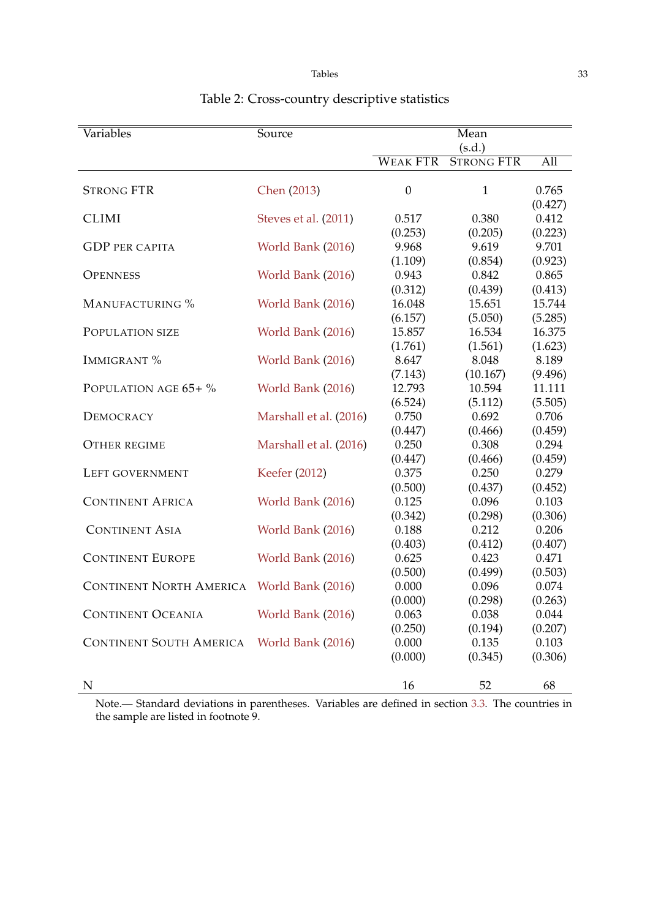| Variables                      | <b>Source</b>          | Mean                        |                             |                             |
|--------------------------------|------------------------|-----------------------------|-----------------------------|-----------------------------|
|                                |                        |                             | (s.d.)                      |                             |
|                                |                        | <b>WEAK FTR</b>             | <b>STRONG FTR</b>           | All                         |
| <b>STRONG FTR</b>              | Chen (2013)            | $\boldsymbol{0}$            | $\mathbf{1}$                | 0.765<br>(0.427)            |
| <b>CLIMI</b>                   | Steves et al. (2011)   | 0.517<br>(0.253)            | 0.380<br>(0.205)            | 0.412<br>(0.223)            |
| <b>GDP PER CAPITA</b>          | World Bank (2016)      | 9.968                       | 9.619                       | 9.701                       |
| <b>OPENNESS</b>                | World Bank (2016)      | (1.109)<br>0.943            | (0.854)<br>0.842            | (0.923)<br>0.865            |
| MANUFACTURING %                | World Bank (2016)      | (0.312)<br>16.048           | (0.439)<br>15.651           | (0.413)<br>15.744           |
| POPULATION SIZE                | World Bank (2016)      | (6.157)<br>15.857           | (5.050)<br>16.534           | (5.285)<br>16.375           |
| <b>IMMIGRANT %</b>             | World Bank (2016)      | (1.761)<br>8.647            | (1.561)<br>8.048            | (1.623)<br>8.189            |
| POPULATION AGE 65+ %           | World Bank (2016)      | (7.143)<br>12.793           | (10.167)<br>10.594          | (9.496)<br>11.111           |
| DEMOCRACY                      | Marshall et al. (2016) | (6.524)<br>0.750            | (5.112)<br>0.692            | (5.505)<br>0.706            |
| <b>OTHER REGIME</b>            | Marshall et al. (2016) | (0.447)<br>0.250            | (0.466)<br>0.308            | (0.459)<br>0.294            |
| LEFT GOVERNMENT                | Keefer (2012)          | (0.447)<br>0.375            | (0.466)<br>0.250            | (0.459)<br>0.279            |
| <b>CONTINENT AFRICA</b>        | World Bank (2016)      | (0.500)<br>0.125            | (0.437)<br>0.096            | (0.452)<br>0.103            |
| <b>CONTINENT ASIA</b>          | World Bank (2016)      | (0.342)<br>0.188            | (0.298)<br>0.212            | (0.306)<br>0.206            |
| <b>CONTINENT EUROPE</b>        | World Bank (2016)      | (0.403)<br>0.625            | (0.412)<br>0.423            | (0.407)<br>0.471            |
| <b>CONTINENT NORTH AMERICA</b> | World Bank (2016)      | (0.500)<br>0.000            | (0.499)<br>0.096            | (0.503)<br>0.074            |
| <b>CONTINENT OCEANIA</b>       | World Bank (2016)      | (0.000)<br>0.063            | (0.298)<br>0.038            | (0.263)<br>0.044            |
| <b>CONTINENT SOUTH AMERICA</b> | World Bank (2016)      | (0.250)<br>0.000<br>(0.000) | (0.194)<br>0.135<br>(0.345) | (0.207)<br>0.103<br>(0.306) |
| N                              |                        | 16                          | 52                          | 68                          |

# <span id="page-33-0"></span>Table 2: Cross-country descriptive statistics

Note.— Standard deviations in parentheses. Variables are defined in section [3.3.](#page-8-1) The countries in the sample are listed in footnote 9.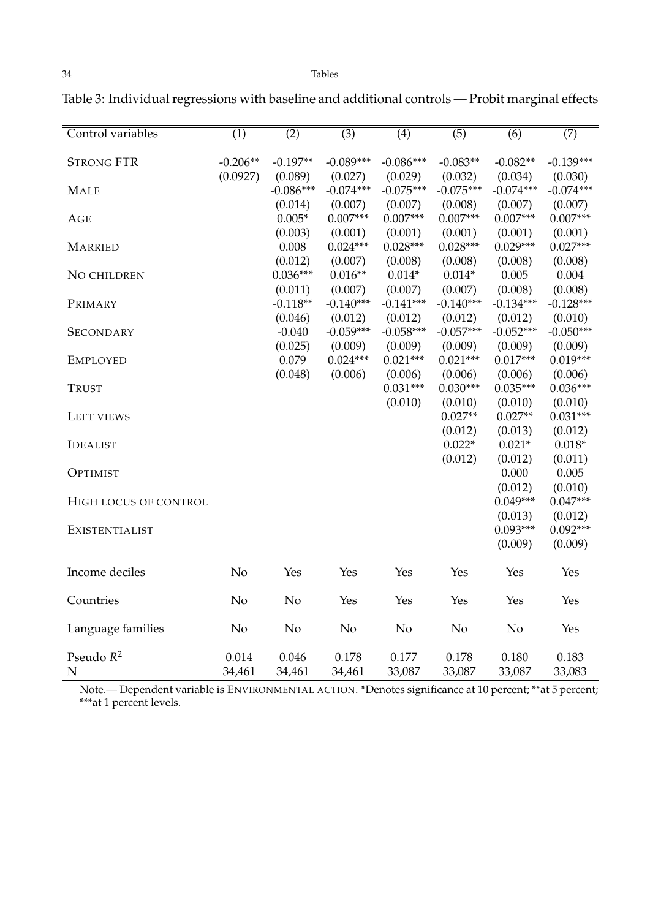Control variables (1) (2) (3) (4) (5) (6) (7) STRONG FTR -0.206\*\* -0.197\*\* -0.089\*\*\* -0.086\*\*\* -0.083\*\* -0.082\*\* -0.139\*\*\* (0.0927) (0.089) (0.027) (0.029) (0.032) (0.034) (0.030) MALE -0.086\*\*\* -0.074\*\*\* -0.075\*\*\* -0.075\*\*\* -0.074\*\*\* -0.074\*\*\*  $(0.014)$   $(0.007)$   $(0.007)$   $(0.008)$   $(0.007)$   $(0.007)$ <br> $0.005*$   $0.007***$   $0.007***$   $0.007***$   $0.007***$  $\text{AGE}$  0.005\* 0.007\*\*\* 0.007\*\*\* 0.007\*\*\* 0.007\*\*\* 0.007\*\*\* (0.003) (0.001) (0.001) (0.001) (0.001) (0.001) MARRIED 0.008 0.024\*\*\* 0.028\*\*\* 0.028\*\*\* 0.029\*\*\* 0.027\*\*\* (0.012) (0.007) (0.008) (0.008) (0.008) (0.008) NO CHILDREN  $0.036***$   $0.016***$   $0.014*$   $0.014*$   $0.005$   $0.004$  $(0.011)$   $(0.007)$   $(0.007)$   $(0.007)$   $(0.008)$   $(0.008)$ PRIMARY -0.118\*\* -0.140\*\*\* -0.141\*\*\* -0.140\*\*\* -0.134\*\*\* -0.128\*\*\* (0.046) (0.012) (0.012) (0.012) (0.012) (0.010) SECONDARY -0.040 -0.059\*\*\* -0.058\*\*\* -0.057\*\*\* -0.052\*\*\* -0.050\*\*\*  $(0.025)$   $(0.009)$   $(0.009)$   $(0.009)$   $(0.009)$   $(0.009)$ <br> $0.079$   $0.024***$   $0.021***$   $0.021***$   $0.017***$   $0.019***$ EMPLOYED 0.079 0.024\*\*\* 0.021\*\*\* 0.021\*\*\* 0.017\*\*\* 0.019\*\*\* (0.048) (0.006) (0.006) (0.006) (0.006) (0.006) TRUST  $0.031***$   $0.030***$   $0.030***$   $0.035***$   $0.036***$ (0.010) (0.010) (0.010) (0.010) LEFT VIEWS  $0.027**$   $0.027**$   $0.031***$ (0.012) (0.013) (0.012)  $\text{IDEALIST}$  0.022\* 0.021\* 0.018\* (0.012) (0.012) (0.011) **OPTIMIST** 0.000 0.005  $(0.012)$   $(0.010)$ <br> $0.049***$   $0.047***$ HIGH LOCUS OF CONTROL  $0.049***$   $0.047***$  $(0.013)$   $(0.012)$ <br> $0.093***$   $0.092***$ EXISTENTIALIST 0.092\*\*\* 0.092\*\*\* (0.009) (0.009) Income deciles No Yes Yes Yes Yes Yes Yes Yes Yes Countries No No Yes Yes Yes Yes Yes Language families No No No No No No Yes Pseudo *R* <sup>2</sup> 0.014 0.046 0.178 0.177 0.178 0.180 0.183 N 34,461 34,461 34,461 33,087 33,087 33,087 33,083

<span id="page-34-0"></span>Table 3: Individual regressions with baseline and additional controls — Probit marginal effects

Note.— Dependent variable is ENVIRONMENTAL ACTION. \*Denotes significance at 10 percent; \*\*at 5 percent; \*\*\*at 1 percent levels.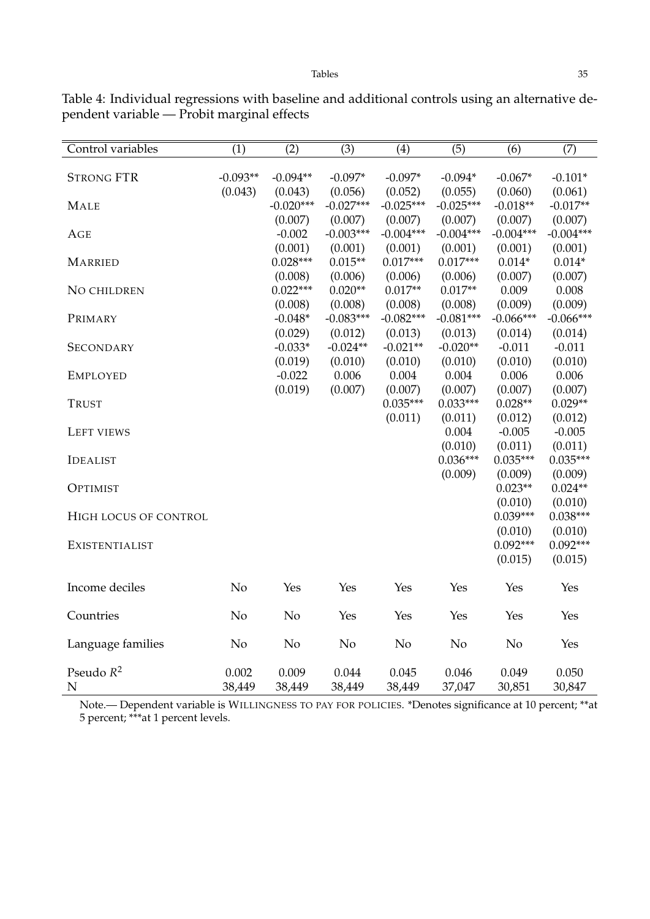Control variables (1) (2) (3) (4) (5) (6) (7) STRONG FTR  $-0.093**$   $-0.094**$   $-0.097*$   $-0.097*$   $-0.094*$   $-0.067*$   $-0.101*$ (0.043) (0.043) (0.056) (0.052) (0.055) (0.060) (0.061) MALE -0.020\*\*\* -0.027\*\*\* -0.025\*\*\* -0.025\*\*\* -0.018\*\* -0.017\*\* (0.007) (0.007) (0.007) (0.007) (0.007) (0.007) AGE -0.002 -0.003\*\*\* -0.004\*\*\* -0.004\*\*\* -0.004\*\*\* -0.004\*\*\*  $\begin{array}{cccc} (0.001) & (0.001) & (0.001) & (0.001) & (0.001) & (0.001) \\ 0.028^{***} & 0.015^{**} & 0.017^{***} & 0.017^{***} & 0.014^{*} & 0.014^{*} \end{array}$ MARRIED 0.028\*\*\* 0.015\*\* 0.017\*\*\* 0.017\*\*\* 0.014\* 0.014\* (0.008) (0.006) (0.006) (0.006) (0.007) (0.007) NO CHILDREN  $0.022***$   $0.020**$   $0.017**$   $0.017**$   $0.009$   $0.008$ (0.008) (0.008) (0.008) (0.008) (0.009) (0.009) PRIMARY -0.048\* -0.083\*\*\* -0.082\*\*\* -0.081\*\*\* -0.066\*\*\* -0.066\*\*\* (0.029) (0.012) (0.013) (0.013) (0.014) (0.014) SECONDARY -0.033\* -0.024\*\* -0.021\*\* -0.020\*\* -0.011 -0.011 (0.019) (0.010) (0.010) (0.010) (0.010) (0.010) EMPLOYED -0.022 0.006 0.004 0.004 0.006 0.006  $(0.019)$   $(0.007)$   $(0.007)$   $(0.007)$   $(0.007)$   $(0.007)$   $(0.007)$ <br> $0.035***$   $0.033***$   $0.028**$   $0.029**$ TRUST  $0.035^{***}$   $0.033^{***}$   $0.028^{**}$   $0.029^{**}$ (0.011) (0.011) (0.012) (0.012) LEFT VIEWS -0.005 -0.005 -0.005 -0.005 -0.005 -0.005 -0.005 -0.005 -0.005 -0.005  $(0.010)$   $(0.011)$   $(0.011)$ <br> $0.036***$   $0.035***$   $0.035***$ IDEALIST 0.035\*\*\* 0.035\*\*\* 0.035\*\*\*  $(0.009)$   $(0.009)$   $(0.009)$  $O_{\rm PTIMIST}$  0.023\*\* 0.024\*\* (0.010) (0.010) HIGH LOCUS OF CONTROL  $0.039***$   $0.039***$ (0.010) (0.010) EXISTENTIALIST 0.092\*\*\* 0.092\*\*\* (0.015) (0.015) Income deciles No Yes Yes Yes Yes Yes Yes Countries No No Yes Yes Yes Yes Yes Language families No No No No No No Yes Pseudo *R* <sup>2</sup> 0.002 0.009 0.044 0.045 0.046 0.049 0.050 N 38,449 38,449 38,449 38,449 37,047 30,851 30,847

<span id="page-35-0"></span>Table 4: Individual regressions with baseline and additional controls using an alternative dependent variable — Probit marginal effects

Note.— Dependent variable is WILLINGNESS TO PAY FOR POLICIES. \*Denotes significance at 10 percent; \*\*at 5 percent; \*\*\*at 1 percent levels.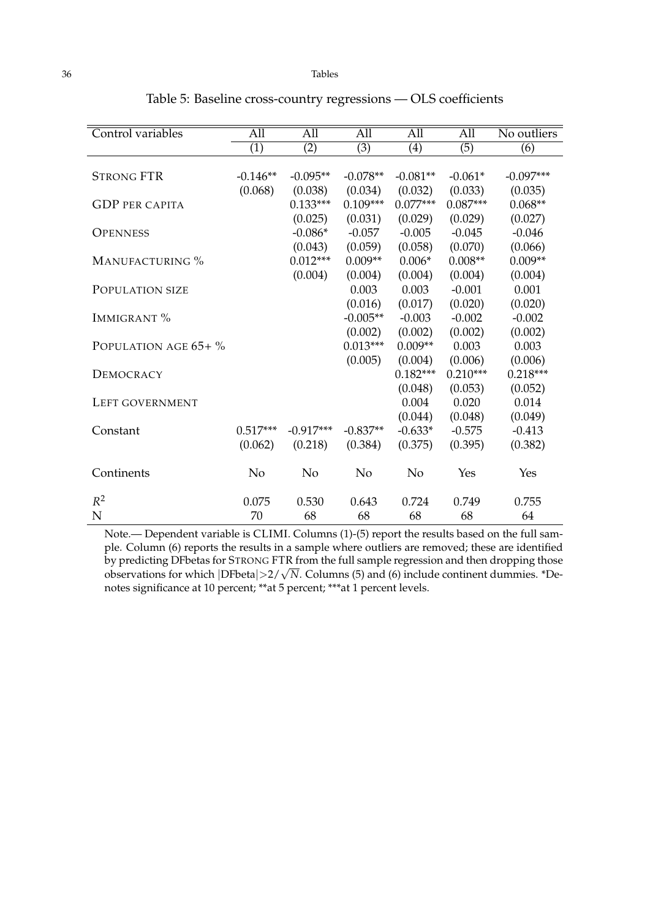| Control variables     | $\overline{All}$ | All              | All              | All              | All              | No outliers      |
|-----------------------|------------------|------------------|------------------|------------------|------------------|------------------|
|                       | $\overline{(1)}$ | $\overline{(2)}$ | $\overline{(3)}$ | $\overline{(4)}$ | $\overline{(5)}$ | $\overline{(6)}$ |
|                       |                  |                  |                  |                  |                  |                  |
| <b>STRONG FTR</b>     | $-0.146**$       | $-0.095**$       | $-0.078**$       | $-0.081**$       | $-0.061*$        | $-0.097***$      |
|                       | (0.068)          | (0.038)          | (0.034)          | (0.032)          | (0.033)          | (0.035)          |
| <b>GDP PER CAPITA</b> |                  | $0.133***$       | $0.109***$       | $0.077***$       | $0.087***$       | $0.068**$        |
|                       |                  | (0.025)          | (0.031)          | (0.029)          | (0.029)          | (0.027)          |
| <b>OPENNESS</b>       |                  | $-0.086*$        | $-0.057$         | $-0.005$         | $-0.045$         | $-0.046$         |
|                       |                  | (0.043)          | (0.059)          | (0.058)          | (0.070)          | (0.066)          |
| MANUFACTURING %       |                  | $0.012***$       | $0.009**$        | $0.006*$         | $0.008**$        | $0.009**$        |
|                       |                  | (0.004)          | (0.004)          | (0.004)          | (0.004)          | (0.004)          |
| POPULATION SIZE       |                  |                  | 0.003            | 0.003            | $-0.001$         | 0.001            |
|                       |                  |                  | (0.016)          | (0.017)          | (0.020)          | (0.020)          |
| IMMIGRANT %           |                  |                  | $-0.005**$       | $-0.003$         | $-0.002$         | $-0.002$         |
|                       |                  |                  | (0.002)          | (0.002)          | (0.002)          | (0.002)          |
| POPULATION AGE 65+ %  |                  |                  | $0.013***$       | $0.009**$        | 0.003            | 0.003            |
|                       |                  |                  | (0.005)          | (0.004)          | (0.006)          | (0.006)          |
| DEMOCRACY             |                  |                  |                  | $0.182***$       | $0.210***$       | $0.218***$       |
|                       |                  |                  |                  | (0.048)          | (0.053)          | (0.052)          |
| LEFT GOVERNMENT       |                  |                  |                  | 0.004            | 0.020            | 0.014            |
|                       |                  |                  |                  | (0.044)          | (0.048)          | (0.049)          |
| Constant              | $0.517***$       | $-0.917***$      | $-0.837**$       | $-0.633*$        | $-0.575$         | $-0.413$         |
|                       | (0.062)          | (0.218)          | (0.384)          | (0.375)          | (0.395)          | (0.382)          |
| Continents            | N <sub>o</sub>   | N <sub>o</sub>   | N <sub>o</sub>   | N <sub>o</sub>   | Yes              | Yes              |
| $R^2$                 | 0.075            | 0.530            | 0.643            | 0.724            | 0.749            | 0.755            |
| N                     | 70               | 68               | 68               | 68               | 68               | 64               |

<span id="page-36-0"></span>Table 5: Baseline cross-country regressions — OLS coefficients

Note.— Dependent variable is CLIMI. Columns (1)-(5) report the results based on the full sample. Column (6) reports the results in a sample where outliers are removed; these are identified by predicting DFbetas for STRONG FTR from the full sample regression and then dropping those observations for which |DFbeta|>2/√*N*. Columns (5) and (6) include continent dummies. \*De-<br>observations for which |DFbeta|>2/√*N*. Columns (5) and (6) include continent dummies. \*Denotes significance at 10 percent; \*\*at 5 percent; \*\*\*at 1 percent levels.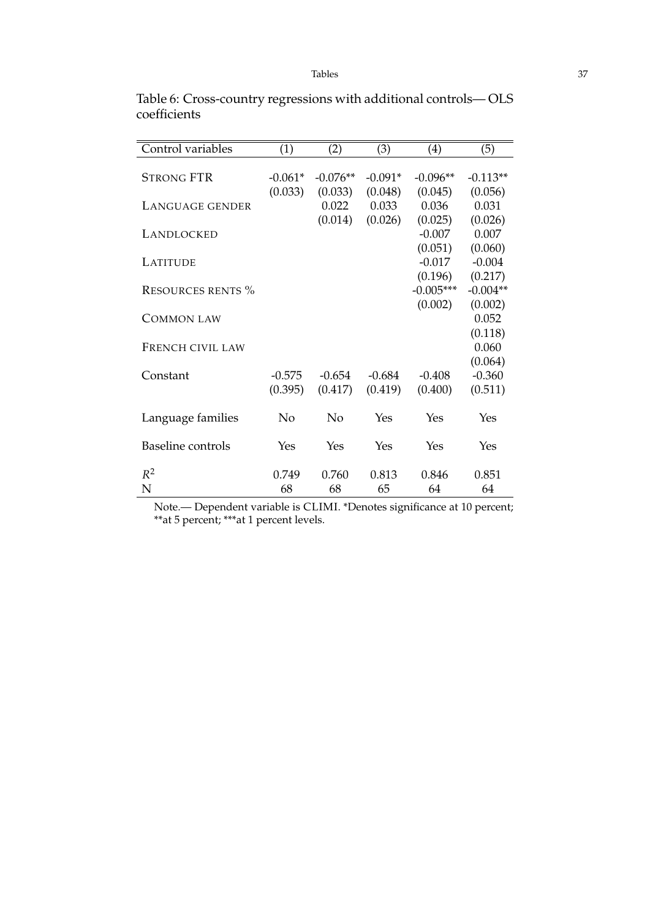| Control variables        | (1)       | $\left( 2\right)$ | (3)       | (4)         | (5)        |
|--------------------------|-----------|-------------------|-----------|-------------|------------|
| <b>STRONG FTR</b>        | $-0.061*$ | $-0.076**$        | $-0.091*$ | $-0.096**$  | $-0.113**$ |
|                          | (0.033)   | (0.033)           | (0.048)   | (0.045)     | (0.056)    |
| LANGUAGE GENDER          |           | 0.022             | 0.033     | 0.036       | 0.031      |
|                          |           | (0.014)           | (0.026)   | (0.025)     | (0.026)    |
| LANDLOCKED               |           |                   |           | $-0.007$    | 0.007      |
|                          |           |                   |           | (0.051)     | (0.060)    |
| <b>LATITUDE</b>          |           |                   |           | $-0.017$    | $-0.004$   |
|                          |           |                   |           | (0.196)     | (0.217)    |
| RESOURCES RENTS %        |           |                   |           | $-0.005***$ | $-0.004**$ |
|                          |           |                   |           | (0.002)     | (0.002)    |
| <b>COMMON LAW</b>        |           |                   |           |             | 0.052      |
|                          |           |                   |           |             | (0.118)    |
| FRENCH CIVIL LAW         |           |                   |           |             | 0.060      |
|                          |           |                   |           |             | (0.064)    |
| Constant                 | $-0.575$  | $-0.654$          | $-0.684$  | $-0.408$    | $-0.360$   |
|                          | (0.395)   | (0.417)           | (0.419)   | (0.400)     | (0.511)    |
|                          |           |                   |           |             |            |
| Language families        | No        | No                | Yes       | Yes         | Yes        |
|                          |           |                   |           |             |            |
| <b>Baseline</b> controls | Yes       | Yes               | Yes       | Yes         | Yes        |
| $R^2$                    | 0.749     | 0.760             | 0.813     | 0.846       | 0.851      |
| N                        | 68        | 68                | 65        | 64          | 64         |
|                          |           |                   |           |             |            |

<span id="page-37-0"></span>Table 6: Cross-country regressions with additional controls— OLS coefficients

Note.— Dependent variable is CLIMI. \*Denotes significance at 10 percent; \*\*at 5 percent; \*\*\*at 1 percent levels.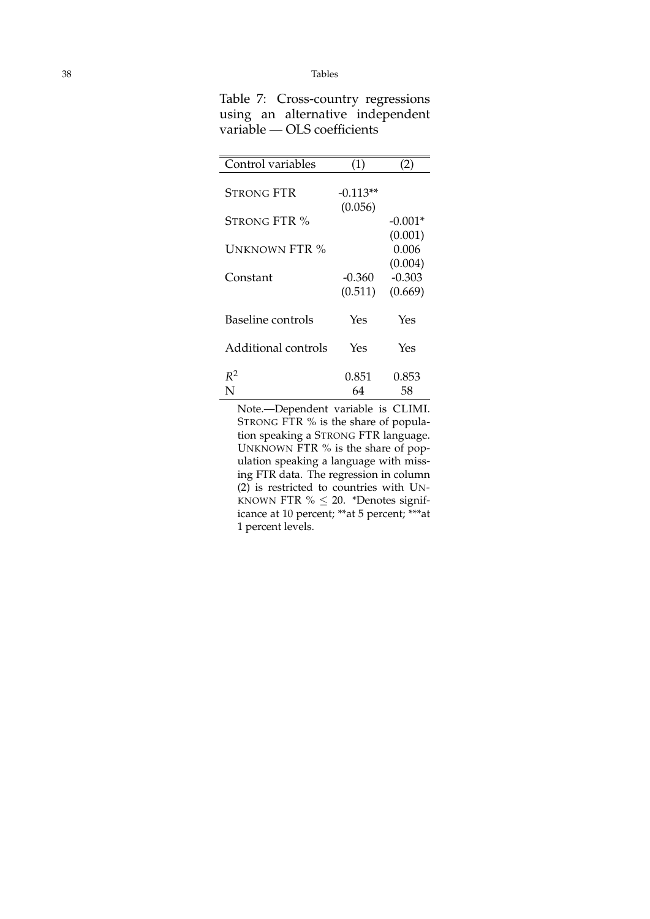<span id="page-38-0"></span>

| Table 7: Cross-country regressions |
|------------------------------------|
| using an alternative independent   |
| variable — OLS coefficients        |
|                                    |

| Control variables   | (1)                   | $\rm(2)$                    |
|---------------------|-----------------------|-----------------------------|
| <b>STRONG FTR</b>   | $-0.113**$<br>(0.056) |                             |
| STRONG FTR %        |                       | $-0.001*$                   |
| UNKNOWN FTR %       |                       | (0.001)<br>0.006<br>(0.004) |
| Constant            | $-0.360$              | $-0.303$                    |
|                     | (0.511)               | (0.669)                     |
| Baseline controls   | Yes                   | Yes                         |
| Additional controls | Yes                   | Yes                         |
| $R^2$<br>N          | 0.851<br>64           | 0.853<br>58                 |

Note.—Dependent variable is CLIMI. STRONG FTR % is the share of population speaking a STRONG FTR language. UNKNOWN FTR % is the share of population speaking a language with missing FTR data. The regression in column (2) is restricted to countries with UN-KNOWN FTR  $% \leq 20$ . \*Denotes significance at 10 percent; \*\*at 5 percent; \*\*\*at 1 percent levels.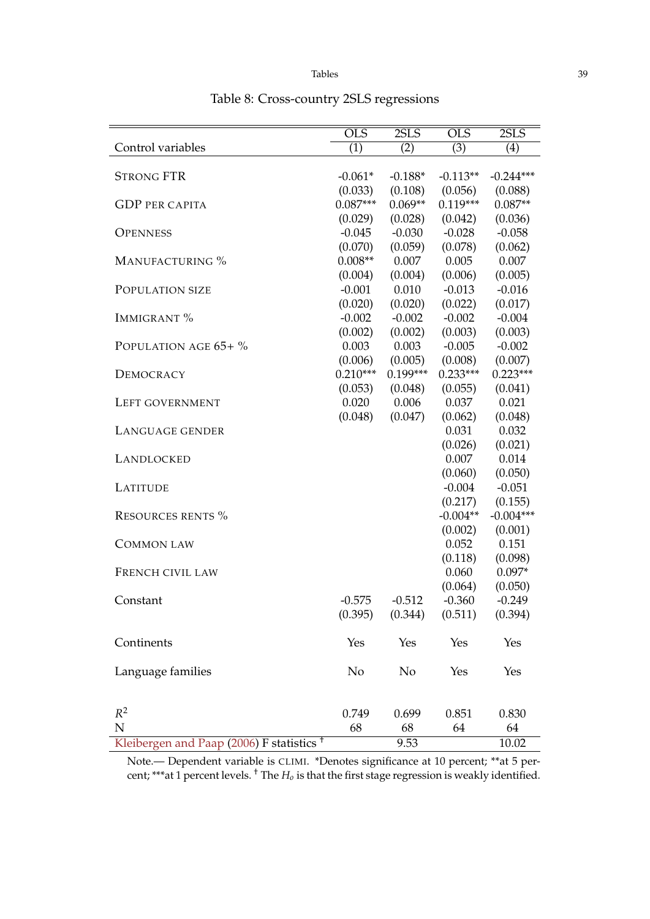|                                                      | $\overline{\text{OLS}}$ | 2SLS                | <b>OLS</b>       | 2SLS                |
|------------------------------------------------------|-------------------------|---------------------|------------------|---------------------|
| Control variables                                    | $\overline{(1)}$        | $\overline{(2)}$    | $\overline{(3)}$ | $\overline{(4)}$    |
|                                                      |                         |                     |                  |                     |
| <b>STRONG FTR</b>                                    | $-0.061*$               | $-0.188*$           | $-0.113**$       | $-0.244***$         |
|                                                      | (0.033)                 | (0.108)             | (0.056)          | (0.088)             |
| <b>GDP PER CAPITA</b>                                | $0.087***$              | $0.069**$           | $0.119***$       | $0.087**$           |
|                                                      | (0.029)                 | (0.028)             | (0.042)          | (0.036)             |
| <b>OPENNESS</b>                                      | $-0.045$                | $-0.030$            | $-0.028$         | $-0.058$            |
| MANUFACTURING %                                      | (0.070)<br>$0.008**$    | (0.059)<br>0.007    | (0.078)<br>0.005 | (0.062)<br>0.007    |
|                                                      | (0.004)                 | (0.004)             | (0.006)          | (0.005)             |
| POPULATION SIZE                                      | $-0.001$                | 0.010               | $-0.013$         | $-0.016$            |
|                                                      | (0.020)                 |                     | (0.022)          |                     |
| IMMIGRANT %                                          | $-0.002$                | (0.020)<br>$-0.002$ | $-0.002$         | (0.017)<br>$-0.004$ |
|                                                      | (0.002)                 | (0.002)             | (0.003)          | (0.003)             |
| POPULATION AGE 65+ %                                 | 0.003                   | 0.003               | $-0.005$         | $-0.002$            |
|                                                      | (0.006)                 | (0.005)             | (0.008)          | (0.007)             |
| DEMOCRACY                                            | $0.210***$              | $0.199***$          | $0.233***$       | $0.223***$          |
|                                                      | (0.053)                 | (0.048)             | (0.055)          | (0.041)             |
| LEFT GOVERNMENT                                      | 0.020                   | 0.006               | 0.037            | 0.021               |
|                                                      | (0.048)                 | (0.047)             | (0.062)          | (0.048)             |
| LANGUAGE GENDER                                      |                         |                     | 0.031            | 0.032               |
|                                                      |                         |                     | (0.026)          | (0.021)             |
| LANDLOCKED                                           |                         |                     | 0.007            | 0.014               |
|                                                      |                         |                     | (0.060)          | (0.050)             |
| <b>LATITUDE</b>                                      |                         |                     | $-0.004$         | $-0.051$            |
|                                                      |                         |                     | (0.217)          | (0.155)             |
| <b>RESOURCES RENTS %</b>                             |                         |                     | $-0.004**$       | $-0.004***$         |
|                                                      |                         |                     | (0.002)          | (0.001)             |
| <b>COMMON LAW</b>                                    |                         |                     | 0.052            | 0.151               |
|                                                      |                         |                     | (0.118)          | (0.098)             |
| FRENCH CIVIL LAW                                     |                         |                     | 0.060            | $0.097*$            |
|                                                      |                         |                     | (0.064)          | (0.050)             |
| Constant                                             | $-0.575$                | $-0.512$            | $-0.360$         | $-0.249$            |
|                                                      | (0.395)                 | (0.344)             | (0.511)          | (0.394)             |
|                                                      |                         |                     |                  |                     |
| Continents                                           | Yes                     | Yes                 | Yes              | Yes                 |
|                                                      |                         |                     |                  |                     |
| Language families                                    | No                      | N <sub>o</sub>      | Yes              | Yes                 |
|                                                      |                         |                     |                  |                     |
|                                                      |                         |                     |                  |                     |
| $R^2$                                                | 0.749                   | 0.699               | 0.851            | 0.830               |
| ${\bf N}$                                            | 68                      | 68                  | 64               | 64                  |
| Kleibergen and Paap (2006) F statistics <sup>+</sup> |                         | 9.53                |                  | 10.02               |

# <span id="page-39-0"></span>Table 8: Cross-country 2SLS regressions

Note.— Dependent variable is CLIMI. \*Denotes significance at 10 percent; \*\*at 5 percent; \*\*\*at 1 percent levels. † The *H<sup>o</sup>* is that the first stage regression is weakly identified.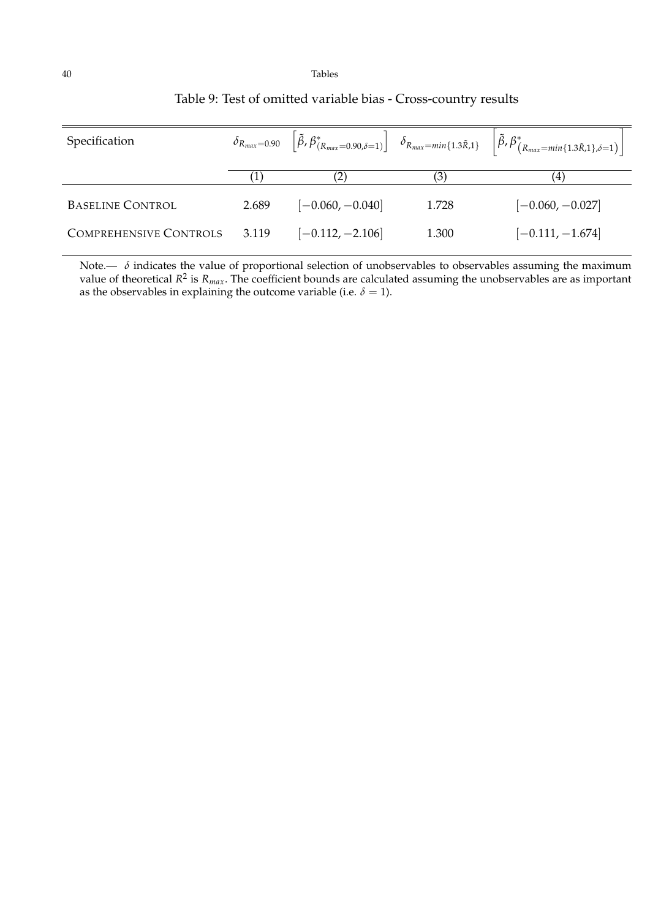| Specification                 |       |                    |       | $\delta_{R_{max}=0.90}$ $\left[\tilde{\beta}, \beta^*_{(R_{max}=0.90,\delta=1)}\right]$ $\delta_{R_{max}=min\{1.3\tilde{R},1\}}$ $\left \tilde{\beta}, \beta^*_{(R_{max}=min\{1.3\tilde{R},1\},\delta=1)}\right $ |
|-------------------------------|-------|--------------------|-------|-------------------------------------------------------------------------------------------------------------------------------------------------------------------------------------------------------------------|
|                               |       | (2)                | (3)   | 4)                                                                                                                                                                                                                |
| <b>BASELINE CONTROL</b>       | 2.689 | $[-0.060, -0.040]$ | 1.728 | $[-0.060, -0.027]$                                                                                                                                                                                                |
| <b>COMPREHENSIVE CONTROLS</b> | 3.119 | $[-0.112, -2.106]$ | 1.300 | $[-0.111, -1.674]$                                                                                                                                                                                                |

# <span id="page-40-0"></span>Table 9: Test of omitted variable bias - Cross-country results

Note.—  $\,\delta$  indicates the value of proportional selection of unobservables to observables assuming the maximum value of theoretical *R* 2 is *Rmax*. The coefficient bounds are calculated assuming the unobservables are as important as the observables in explaining the outcome variable (i.e.  $\delta = 1$ ).